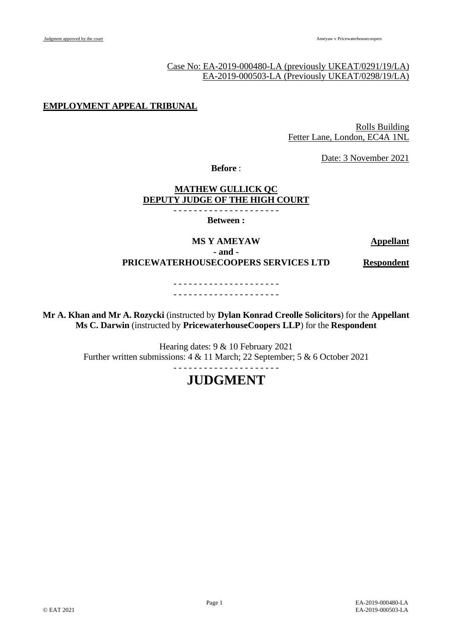# Case No: EA-2019-000480-LA (previously UKEAT/0291/19/LA) EA-2019-000503-LA (Previously UKEAT/0298/19/LA)

# **EMPLOYMENT APPEAL TRIBUNAL**

Rolls Building Fetter Lane, London, EC4A 1NL

Date: 3 November 2021

**Before** :

# **MATHEW GULLICK QC DEPUTY JUDGE OF THE HIGH COURT**

- - - - - - - - - - - - - - - - - - - - - **Between :**

**MS Y AMEYAW Appellant**

**- and - PRICEWATERHOUSECOOPERS SERVICES LTD Respondent**

> - - - - - - - - - - - - - - - - - - - - - - - - - - - - - - - - - - - - - - - - - -

**Mr A. Khan and Mr A. Rozycki** (instructed by **Dylan Konrad Creolle Solicitors**) for the **Appellant Ms C. Darwin** (instructed by **PricewaterhouseCoopers LLP**) for the **Respondent**

> Hearing dates: 9 & 10 February 2021 Further written submissions: 4 & 11 March; 22 September; 5 & 6 October 2021 - - - - - - - - - - - - - - - - - - - - -

# **JUDGMENT**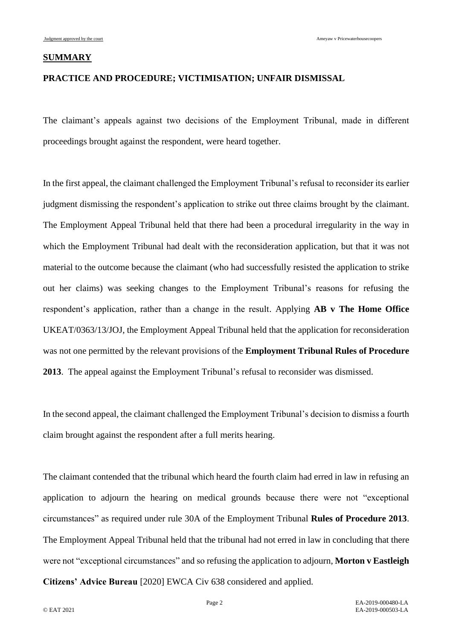#### **SUMMARY**

# **PRACTICE AND PROCEDURE; VICTIMISATION; UNFAIR DISMISSAL**

The claimant's appeals against two decisions of the Employment Tribunal, made in different proceedings brought against the respondent, were heard together.

In the first appeal, the claimant challenged the Employment Tribunal's refusal to reconsider its earlier judgment dismissing the respondent's application to strike out three claims brought by the claimant. The Employment Appeal Tribunal held that there had been a procedural irregularity in the way in which the Employment Tribunal had dealt with the reconsideration application, but that it was not material to the outcome because the claimant (who had successfully resisted the application to strike out her claims) was seeking changes to the Employment Tribunal's reasons for refusing the respondent's application, rather than a change in the result. Applying **AB v The Home Office** UKEAT/0363/13/JOJ, the Employment Appeal Tribunal held that the application for reconsideration was not one permitted by the relevant provisions of the **Employment Tribunal Rules of Procedure 2013**. The appeal against the Employment Tribunal's refusal to reconsider was dismissed.

In the second appeal, the claimant challenged the Employment Tribunal's decision to dismiss a fourth claim brought against the respondent after a full merits hearing.

The claimant contended that the tribunal which heard the fourth claim had erred in law in refusing an application to adjourn the hearing on medical grounds because there were not "exceptional circumstances" as required under rule 30A of the Employment Tribunal **Rules of Procedure 2013**. The Employment Appeal Tribunal held that the tribunal had not erred in law in concluding that there were not "exceptional circumstances" and so refusing the application to adjourn, **Morton v Eastleigh Citizens' Advice Bureau** [2020] EWCA Civ 638 considered and applied.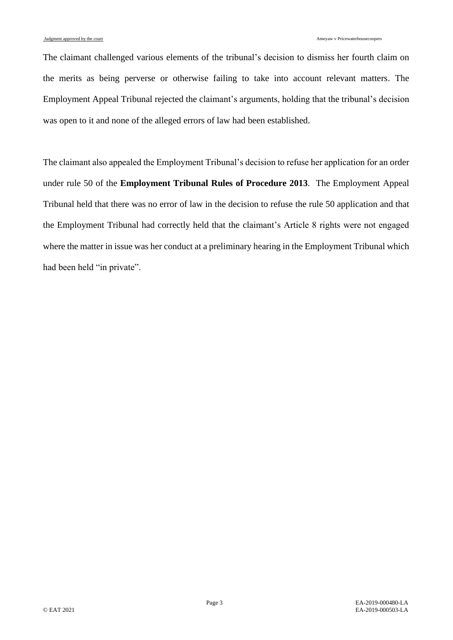The claimant challenged various elements of the tribunal's decision to dismiss her fourth claim on the merits as being perverse or otherwise failing to take into account relevant matters. The Employment Appeal Tribunal rejected the claimant's arguments, holding that the tribunal's decision was open to it and none of the alleged errors of law had been established.

The claimant also appealed the Employment Tribunal's decision to refuse her application for an order under rule 50 of the **Employment Tribunal Rules of Procedure 2013**. The Employment Appeal Tribunal held that there was no error of law in the decision to refuse the rule 50 application and that the Employment Tribunal had correctly held that the claimant's Article 8 rights were not engaged where the matter in issue was her conduct at a preliminary hearing in the Employment Tribunal which had been held "in private".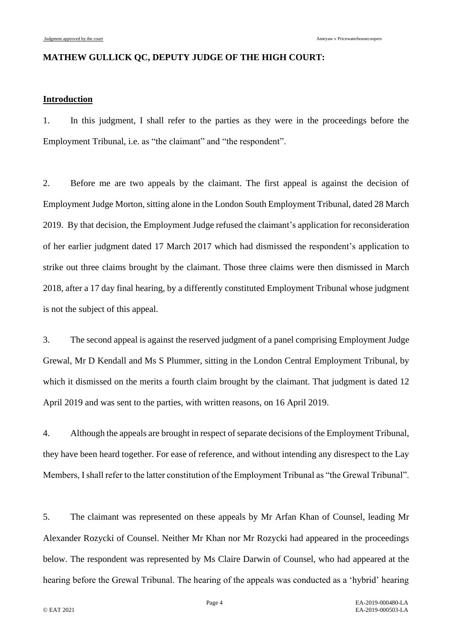# **MATHEW GULLICK QC, DEPUTY JUDGE OF THE HIGH COURT:**

# **Introduction**

1. In this judgment, I shall refer to the parties as they were in the proceedings before the Employment Tribunal, i.e. as "the claimant" and "the respondent".

2. Before me are two appeals by the claimant. The first appeal is against the decision of Employment Judge Morton, sitting alone in the London South Employment Tribunal, dated 28 March 2019. By that decision, the Employment Judge refused the claimant's application for reconsideration of her earlier judgment dated 17 March 2017 which had dismissed the respondent's application to strike out three claims brought by the claimant. Those three claims were then dismissed in March 2018, after a 17 day final hearing, by a differently constituted Employment Tribunal whose judgment is not the subject of this appeal.

3. The second appeal is against the reserved judgment of a panel comprising Employment Judge Grewal, Mr D Kendall and Ms S Plummer, sitting in the London Central Employment Tribunal, by which it dismissed on the merits a fourth claim brought by the claimant. That judgment is dated 12 April 2019 and was sent to the parties, with written reasons, on 16 April 2019.

4. Although the appeals are brought in respect of separate decisions of the Employment Tribunal, they have been heard together. For ease of reference, and without intending any disrespect to the Lay Members, I shall refer to the latter constitution of the Employment Tribunal as "the Grewal Tribunal".

5. The claimant was represented on these appeals by Mr Arfan Khan of Counsel, leading Mr Alexander Rozycki of Counsel. Neither Mr Khan nor Mr Rozycki had appeared in the proceedings below. The respondent was represented by Ms Claire Darwin of Counsel, who had appeared at the hearing before the Grewal Tribunal. The hearing of the appeals was conducted as a 'hybrid' hearing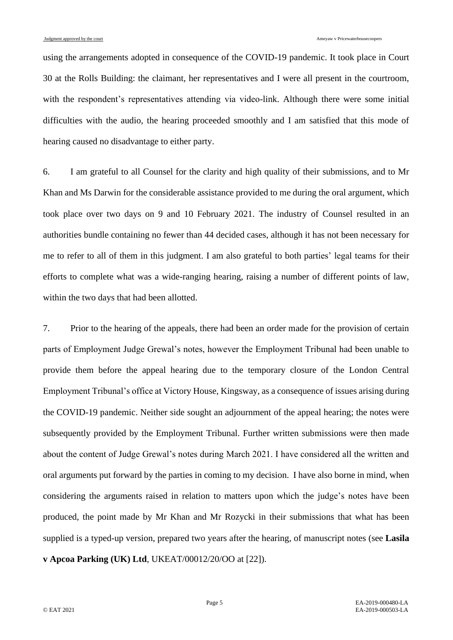using the arrangements adopted in consequence of the COVID-19 pandemic. It took place in Court 30 at the Rolls Building: the claimant, her representatives and I were all present in the courtroom, with the respondent's representatives attending via video-link. Although there were some initial difficulties with the audio, the hearing proceeded smoothly and I am satisfied that this mode of hearing caused no disadvantage to either party.

6. I am grateful to all Counsel for the clarity and high quality of their submissions, and to Mr Khan and Ms Darwin for the considerable assistance provided to me during the oral argument, which took place over two days on 9 and 10 February 2021. The industry of Counsel resulted in an authorities bundle containing no fewer than 44 decided cases, although it has not been necessary for me to refer to all of them in this judgment. I am also grateful to both parties' legal teams for their efforts to complete what was a wide-ranging hearing, raising a number of different points of law, within the two days that had been allotted.

7. Prior to the hearing of the appeals, there had been an order made for the provision of certain parts of Employment Judge Grewal's notes, however the Employment Tribunal had been unable to provide them before the appeal hearing due to the temporary closure of the London Central Employment Tribunal's office at Victory House, Kingsway, as a consequence of issues arising during the COVID-19 pandemic. Neither side sought an adjournment of the appeal hearing; the notes were subsequently provided by the Employment Tribunal. Further written submissions were then made about the content of Judge Grewal's notes during March 2021. I have considered all the written and oral arguments put forward by the parties in coming to my decision. I have also borne in mind, when considering the arguments raised in relation to matters upon which the judge's notes have been produced, the point made by Mr Khan and Mr Rozycki in their submissions that what has been supplied is a typed-up version, prepared two years after the hearing, of manuscript notes (see **Lasila v Apcoa Parking (UK) Ltd**, UKEAT/00012/20/OO at [22]).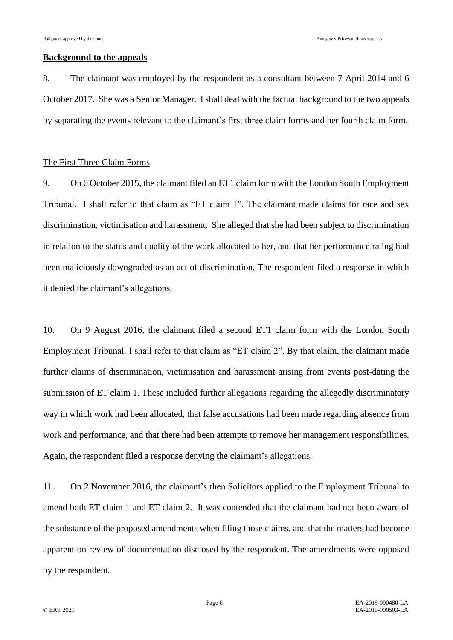# **Background to the appeals**

8. The claimant was employed by the respondent as a consultant between 7 April 2014 and 6 October 2017. She was a Senior Manager. I shall deal with the factual background to the two appeals by separating the events relevant to the claimant's first three claim forms and her fourth claim form.

#### The First Three Claim Forms

9. On 6 October 2015, the claimant filed an ET1 claim form with the London South Employment Tribunal. I shall refer to that claim as "ET claim 1". The claimant made claims for race and sex discrimination, victimisation and harassment. She alleged that she had been subject to discrimination in relation to the status and quality of the work allocated to her, and that her performance rating had been maliciously downgraded as an act of discrimination. The respondent filed a response in which it denied the claimant's allegations.

10. On 9 August 2016, the claimant filed a second ET1 claim form with the London South Employment Tribunal. I shall refer to that claim as "ET claim 2". By that claim, the claimant made further claims of discrimination, victimisation and harassment arising from events post-dating the submission of ET claim 1. These included further allegations regarding the allegedly discriminatory way in which work had been allocated, that false accusations had been made regarding absence from work and performance, and that there had been attempts to remove her management responsibilities. Again, the respondent filed a response denying the claimant's allegations.

11. On 2 November 2016, the claimant's then Solicitors applied to the Employment Tribunal to amend both ET claim 1 and ET claim 2. It was contended that the claimant had not been aware of the substance of the proposed amendments when filing those claims, and that the matters had become apparent on review of documentation disclosed by the respondent. The amendments were opposed by the respondent.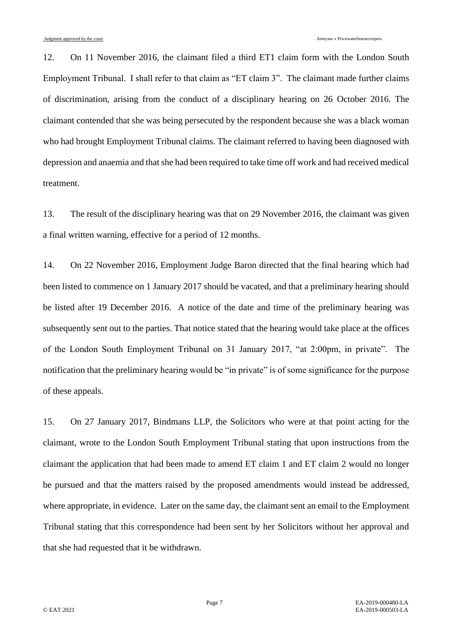12. On 11 November 2016, the claimant filed a third ET1 claim form with the London South Employment Tribunal. I shall refer to that claim as "ET claim 3". The claimant made further claims of discrimination, arising from the conduct of a disciplinary hearing on 26 October 2016. The claimant contended that she was being persecuted by the respondent because she was a black woman who had brought Employment Tribunal claims. The claimant referred to having been diagnosed with depression and anaemia and that she had been required to take time off work and had received medical treatment.

13. The result of the disciplinary hearing was that on 29 November 2016, the claimant was given a final written warning, effective for a period of 12 months.

14. On 22 November 2016, Employment Judge Baron directed that the final hearing which had been listed to commence on 1 January 2017 should be vacated, and that a preliminary hearing should be listed after 19 December 2016. A notice of the date and time of the preliminary hearing was subsequently sent out to the parties. That notice stated that the hearing would take place at the offices of the London South Employment Tribunal on 31 January 2017, "at 2:00pm, in private". The notification that the preliminary hearing would be "in private" is of some significance for the purpose of these appeals.

15. On 27 January 2017, Bindmans LLP, the Solicitors who were at that point acting for the claimant, wrote to the London South Employment Tribunal stating that upon instructions from the claimant the application that had been made to amend ET claim 1 and ET claim 2 would no longer be pursued and that the matters raised by the proposed amendments would instead be addressed, where appropriate, in evidence. Later on the same day, the claimant sent an email to the Employment Tribunal stating that this correspondence had been sent by her Solicitors without her approval and that she had requested that it be withdrawn.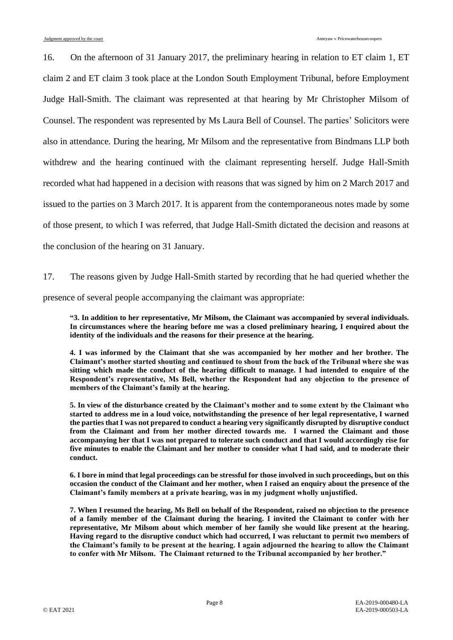16. On the afternoon of 31 January 2017, the preliminary hearing in relation to ET claim 1, ET claim 2 and ET claim 3 took place at the London South Employment Tribunal, before Employment Judge Hall-Smith. The claimant was represented at that hearing by Mr Christopher Milsom of Counsel. The respondent was represented by Ms Laura Bell of Counsel. The parties' Solicitors were also in attendance. During the hearing, Mr Milsom and the representative from Bindmans LLP both withdrew and the hearing continued with the claimant representing herself. Judge Hall-Smith recorded what had happened in a decision with reasons that was signed by him on 2 March 2017 and issued to the parties on 3 March 2017. It is apparent from the contemporaneous notes made by some of those present, to which I was referred, that Judge Hall-Smith dictated the decision and reasons at the conclusion of the hearing on 31 January.

17. The reasons given by Judge Hall-Smith started by recording that he had queried whether the presence of several people accompanying the claimant was appropriate:

**"3. In addition to her representative, Mr Milsom, the Claimant was accompanied by several individuals. In circumstances where the hearing before me was a closed preliminary hearing, I enquired about the identity of the individuals and the reasons for their presence at the hearing.**

**4. I was informed by the Claimant that she was accompanied by her mother and her brother. The Claimant's mother started shouting and continued to shout from the back of the Tribunal where she was sitting which made the conduct of the hearing difficult to manage. I had intended to enquire of the Respondent's representative, Ms Bell, whether the Respondent had any objection to the presence of members of the Claimant's family at the hearing.**

**5. In view of the disturbance created by the Claimant's mother and to some extent by the Claimant who started to address me in a loud voice, notwithstanding the presence of her legal representative, I warned the parties that I was not prepared to conduct a hearing very significantly disrupted by disruptive conduct from the Claimant and from her mother directed towards me. I warned the Claimant and those accompanying her that I was not prepared to tolerate such conduct and that I would accordingly rise for five minutes to enable the Claimant and her mother to consider what I had said, and to moderate their conduct.**

**6. I bore in mind that legal proceedings can be stressful for those involved in such proceedings, but on this occasion the conduct of the Claimant and her mother, when I raised an enquiry about the presence of the Claimant's family members at a private hearing, was in my judgment wholly unjustified.**

**7. When I resumed the hearing, Ms Bell on behalf of the Respondent, raised no objection to the presence of a family member of the Claimant during the hearing. I invited the Claimant to confer with her representative, Mr Milsom about which member of her family she would like present at the hearing. Having regard to the disruptive conduct which had occurred, I was reluctant to permit two members of the Claimant's family to be present at the hearing. I again adjourned the hearing to allow the Claimant to confer with Mr Milsom. The Claimant returned to the Tribunal accompanied by her brother."**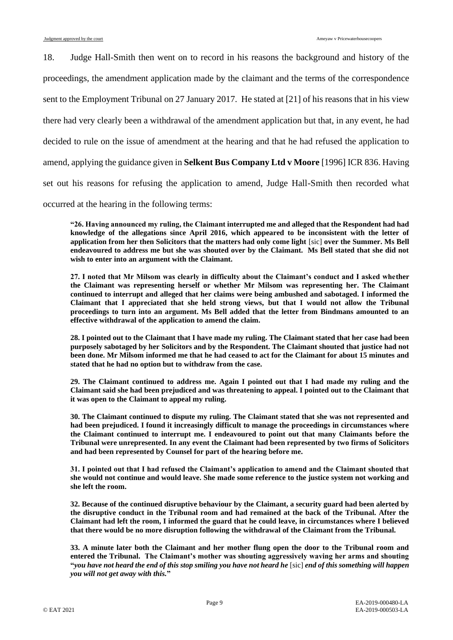18. Judge Hall-Smith then went on to record in his reasons the background and history of the proceedings, the amendment application made by the claimant and the terms of the correspondence sent to the Employment Tribunal on 27 January 2017. He stated at [21] of his reasons that in his view there had very clearly been a withdrawal of the amendment application but that, in any event, he had decided to rule on the issue of amendment at the hearing and that he had refused the application to amend, applying the guidance given in **Selkent Bus Company Ltd v Moore** [1996] ICR 836. Having set out his reasons for refusing the application to amend, Judge Hall-Smith then recorded what occurred at the hearing in the following terms:

**"26. Having announced my ruling, the Claimant interrupted me and alleged that the Respondent had had knowledge of the allegations since April 2016, which appeared to be inconsistent with the letter of application from her then Solicitors that the matters had only come light** [sic] **over the Summer. Ms Bell endeavoured to address me but she was shouted over by the Claimant. Ms Bell stated that she did not wish to enter into an argument with the Claimant.**

**27. I noted that Mr Milsom was clearly in difficulty about the Claimant's conduct and I asked whether the Claimant was representing herself or whether Mr Milsom was representing her. The Claimant continued to interrupt and alleged that her claims were being ambushed and sabotaged. I informed the Claimant that I appreciated that she held strong views, but that I would not allow the Tribunal proceedings to turn into an argument. Ms Bell added that the letter from Bindmans amounted to an effective withdrawal of the application to amend the claim.**

**28. I pointed out to the Claimant that I have made my ruling. The Claimant stated that her case had been purposely sabotaged by her Solicitors and by the Respondent. The Claimant shouted that justice had not been done. Mr Milsom informed me that he had ceased to act for the Claimant for about 15 minutes and stated that he had no option but to withdraw from the case.**

**29. The Claimant continued to address me. Again I pointed out that I had made my ruling and the Claimant said she had been prejudiced and was threatening to appeal. I pointed out to the Claimant that it was open to the Claimant to appeal my ruling.**

**30. The Claimant continued to dispute my ruling. The Claimant stated that she was not represented and had been prejudiced. I found it increasingly difficult to manage the proceedings in circumstances where the Claimant continued to interrupt me. I endeavoured to point out that many Claimants before the Tribunal were unrepresented. In any event the Claimant had been represented by two firms of Solicitors and had been represented by Counsel for part of the hearing before me.**

**31. I pointed out that I had refused the Claimant's application to amend and the Claimant shouted that she would not continue and would leave. She made some reference to the justice system not working and she left the room.**

**32. Because of the continued disruptive behaviour by the Claimant, a security guard had been alerted by the disruptive conduct in the Tribunal room and had remained at the back of the Tribunal. After the Claimant had left the room, I informed the guard that he could leave, in circumstances where I believed that there would be no more disruption following the withdrawal of the Claimant from the Tribunal.**

**33. A minute later both the Claimant and her mother flung open the door to the Tribunal room and entered the Tribunal. The Claimant's mother was shouting aggressively waving her arms and shouting "***you have not heard the end of this stop smiling you have not heard he* [sic] *end of this something will happen you will not get away with this.***"**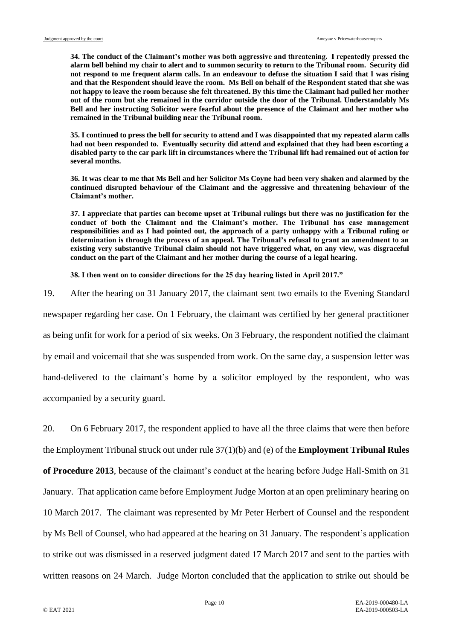**34. The conduct of the Claimant's mother was both aggressive and threatening. I repeatedly pressed the alarm bell behind my chair to alert and to summon security to return to the Tribunal room. Security did not respond to me frequent alarm calls. In an endeavour to defuse the situation I said that I was rising and that the Respondent should leave the room. Ms Bell on behalf of the Respondent stated that she was not happy to leave the room because she felt threatened. By this time the Claimant had pulled her mother out of the room but she remained in the corridor outside the door of the Tribunal. Understandably Ms Bell and her instructing Solicitor were fearful about the presence of the Claimant and her mother who remained in the Tribunal building near the Tribunal room.**

**35. I continued to press the bell for security to attend and I was disappointed that my repeated alarm calls had not been responded to. Eventually security did attend and explained that they had been escorting a disabled party to the car park lift in circumstances where the Tribunal lift had remained out of action for several months.**

**36. It was clear to me that Ms Bell and her Solicitor Ms Coyne had been very shaken and alarmed by the continued disrupted behaviour of the Claimant and the aggressive and threatening behaviour of the Claimant's mother.**

**37. I appreciate that parties can become upset at Tribunal rulings but there was no justification for the conduct of both the Claimant and the Claimant's mother. The Tribunal has case management responsibilities and as I had pointed out, the approach of a party unhappy with a Tribunal ruling or determination is through the process of an appeal. The Tribunal's refusal to grant an amendment to an existing very substantive Tribunal claim should not have triggered what, on any view, was disgraceful conduct on the part of the Claimant and her mother during the course of a legal hearing.**

**38. I then went on to consider directions for the 25 day hearing listed in April 2017."** 

19. After the hearing on 31 January 2017, the claimant sent two emails to the Evening Standard

newspaper regarding her case. On 1 February, the claimant was certified by her general practitioner as being unfit for work for a period of six weeks. On 3 February, the respondent notified the claimant by email and voicemail that she was suspended from work. On the same day, a suspension letter was hand-delivered to the claimant's home by a solicitor employed by the respondent, who was accompanied by a security guard.

20. On 6 February 2017, the respondent applied to have all the three claims that were then before the Employment Tribunal struck out under rule 37(1)(b) and (e) of the **Employment Tribunal Rules of Procedure 2013**, because of the claimant's conduct at the hearing before Judge Hall-Smith on 31 January. That application came before Employment Judge Morton at an open preliminary hearing on 10 March 2017. The claimant was represented by Mr Peter Herbert of Counsel and the respondent by Ms Bell of Counsel, who had appeared at the hearing on 31 January. The respondent's application to strike out was dismissed in a reserved judgment dated 17 March 2017 and sent to the parties with written reasons on 24 March. Judge Morton concluded that the application to strike out should be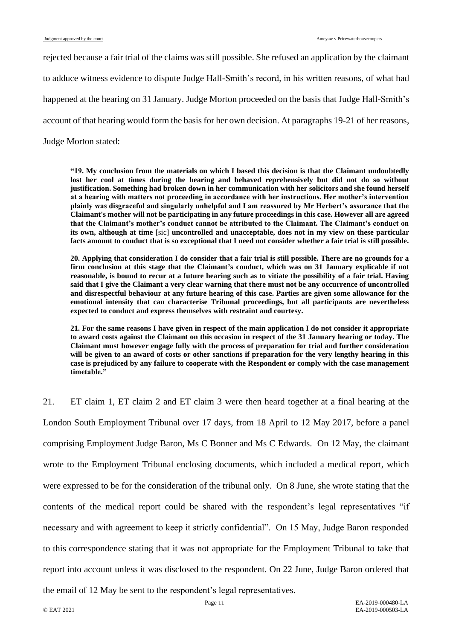rejected because a fair trial of the claims was still possible. She refused an application by the claimant to adduce witness evidence to dispute Judge Hall-Smith's record, in his written reasons, of what had happened at the hearing on 31 January. Judge Morton proceeded on the basis that Judge Hall-Smith's account of that hearing would form the basis for her own decision. At paragraphs 19-21 of her reasons,

Judge Morton stated:

**"19. My conclusion from the materials on which I based this decision is that the Claimant undoubtedly lost her cool at times during the hearing and behaved reprehensively but did not do so without justification. Something had broken down in her communication with her solicitors and she found herself at a hearing with matters not proceeding in accordance with her instructions. Her mother's intervention plainly was disgraceful and singularly unhelpful and I am reassured by Mr Herbert's assurance that the Claimant's mother will not be participating in any future proceedings in this case. However all are agreed that the Claimant's mother's conduct cannot be attributed to the Claimant. The Claimant's conduct on its own, although at time** [sic] **uncontrolled and unacceptable, does not in my view on these particular facts amount to conduct that is so exceptional that I need not consider whether a fair trial is still possible.**

**20. Applying that consideration I do consider that a fair trial is still possible. There are no grounds for a firm conclusion at this stage that the Claimant's conduct, which was on 31 January explicable if not reasonable, is bound to recur at a future hearing such as to vitiate the possibility of a fair trial. Having said that I give the Claimant a very clear warning that there must not be any occurrence of uncontrolled and disrespectful behaviour at any future hearing of this case. Parties are given some allowance for the emotional intensity that can characterise Tribunal proceedings, but all participants are nevertheless expected to conduct and express themselves with restraint and courtesy.**

**21. For the same reasons I have given in respect of the main application I do not consider it appropriate to award costs against the Claimant on this occasion in respect of the 31 January hearing or today. The Claimant must however engage fully with the process of preparation for trial and further consideration will be given to an award of costs or other sanctions if preparation for the very lengthy hearing in this case is prejudiced by any failure to cooperate with the Respondent or comply with the case management timetable."**

<span id="page-10-0"></span>21. ET claim 1, ET claim 2 and ET claim 3 were then heard together at a final hearing at the London South Employment Tribunal over 17 days, from 18 April to 12 May 2017, before a panel comprising Employment Judge Baron, Ms C Bonner and Ms C Edwards. On 12 May, the claimant wrote to the Employment Tribunal enclosing documents, which included a medical report, which were expressed to be for the consideration of the tribunal only. On 8 June, she wrote stating that the contents of the medical report could be shared with the respondent's legal representatives "if necessary and with agreement to keep it strictly confidential". On 15 May, Judge Baron responded to this correspondence stating that it was not appropriate for the Employment Tribunal to take that report into account unless it was disclosed to the respondent. On 22 June, Judge Baron ordered that

the email of 12 May be sent to the respondent's legal representatives.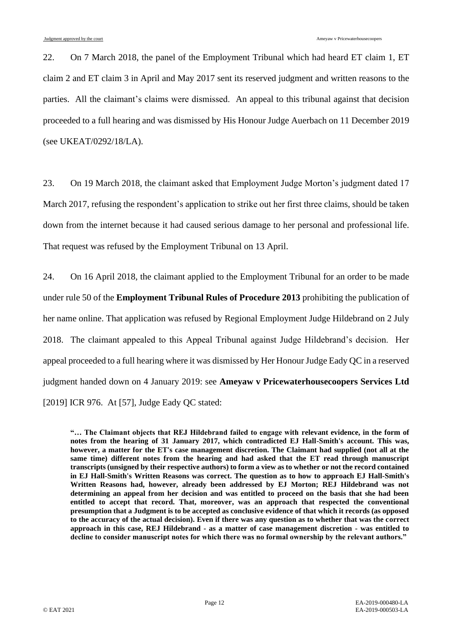22. On 7 March 2018, the panel of the Employment Tribunal which had heard ET claim 1, ET claim 2 and ET claim 3 in April and May 2017 sent its reserved judgment and written reasons to the parties. All the claimant's claims were dismissed. An appeal to this tribunal against that decision proceeded to a full hearing and was dismissed by His Honour Judge Auerbach on 11 December 2019 (see UKEAT/0292/18/LA).

23. On 19 March 2018, the claimant asked that Employment Judge Morton's judgment dated 17 March 2017, refusing the respondent's application to strike out her first three claims, should be taken down from the internet because it had caused serious damage to her personal and professional life. That request was refused by the Employment Tribunal on 13 April.

24. On 16 April 2018, the claimant applied to the Employment Tribunal for an order to be made under rule 50 of the **Employment Tribunal Rules of Procedure 2013** prohibiting the publication of her name online. That application was refused by Regional Employment Judge Hildebrand on 2 July 2018. The claimant appealed to this Appeal Tribunal against Judge Hildebrand's decision. Her appeal proceeded to a full hearing where it was dismissed by Her Honour Judge Eady QC in a reserved judgment handed down on 4 January 2019: see **Ameyaw v Pricewaterhousecoopers Services Ltd** [2019] ICR 976. At [57], Judge Eady QC stated:

**"… The Claimant objects that REJ Hildebrand failed to engage with relevant evidence, in the form of notes from the hearing of 31 January 2017, which contradicted EJ Hall-Smith's account. This was, however, a matter for the ET's case management discretion. The Claimant had supplied (not all at the same time) different notes from the hearing and had asked that the ET read through manuscript transcripts (unsigned by their respective authors) to form a view as to whether or not the record contained in EJ Hall-Smith's Written Reasons was correct. The question as to how to approach EJ Hall-Smith's Written Reasons had, however, already been addressed by EJ Morton; REJ Hildebrand was not determining an appeal from her decision and was entitled to proceed on the basis that she had been entitled to accept that record. That, moreover, was an approach that respected the conventional presumption that a Judgment is to be accepted as conclusive evidence of that which it records (as opposed to the accuracy of the actual decision). Even if there was any question as to whether that was the correct approach in this case, REJ Hildebrand - as a matter of case management discretion - was entitled to decline to consider manuscript notes for which there was no formal ownership by the relevant authors."**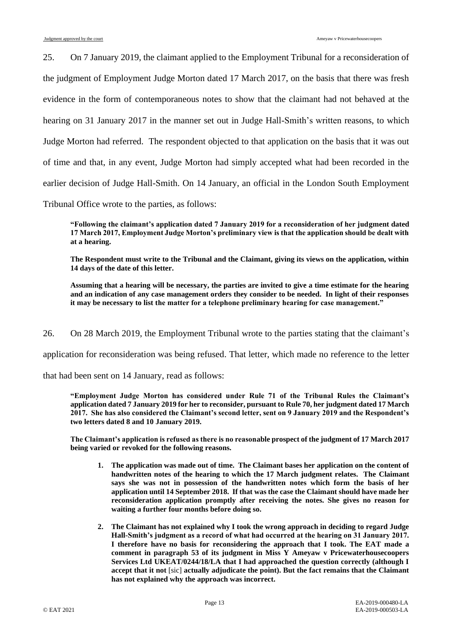25. On 7 January 2019, the claimant applied to the Employment Tribunal for a reconsideration of the judgment of Employment Judge Morton dated 17 March 2017, on the basis that there was fresh evidence in the form of contemporaneous notes to show that the claimant had not behaved at the hearing on 31 January 2017 in the manner set out in Judge Hall-Smith's written reasons, to which Judge Morton had referred. The respondent objected to that application on the basis that it was out of time and that, in any event, Judge Morton had simply accepted what had been recorded in the earlier decision of Judge Hall-Smith. On 14 January, an official in the London South Employment Tribunal Office wrote to the parties, as follows:

**"Following the claimant's application dated 7 January 2019 for a reconsideration of her judgment dated 17 March 2017, Employment Judge Morton's preliminary view is that the application should be dealt with at a hearing.**

**The Respondent must write to the Tribunal and the Claimant, giving its views on the application, within 14 days of the date of this letter.**

**Assuming that a hearing will be necessary, the parties are invited to give a time estimate for the hearing and an indication of any case management orders they consider to be needed. In light of their responses it may be necessary to list the matter for a telephone preliminary hearing for case management."**

26. On 28 March 2019, the Employment Tribunal wrote to the parties stating that the claimant's

application for reconsideration was being refused. That letter, which made no reference to the letter

that had been sent on 14 January, read as follows:

**"Employment Judge Morton has considered under Rule 71 of the Tribunal Rules the Claimant's application dated 7 January 2019 for her to reconsider, pursuant to Rule 70, her judgment dated 17 March 2017. She has also considered the Claimant's second letter, sent on 9 January 2019 and the Respondent's two letters dated 8 and 10 January 2019.**

**The Claimant's application is refused as there is no reasonable prospect of the judgment of 17 March 2017 being varied or revoked for the following reasons.**

- **1. The application was made out of time. The Claimant bases her application on the content of handwritten notes of the hearing to which the 17 March judgment relates. The Claimant says she was not in possession of the handwritten notes which form the basis of her application until 14 September 2018. If that was the case the Claimant should have made her reconsideration application promptly after receiving the notes. She gives no reason for waiting a further four months before doing so.**
- **2. The Claimant has not explained why I took the wrong approach in deciding to regard Judge Hall-Smith's judgment as a record of what had occurred at the hearing on 31 January 2017. I therefore have no basis for reconsidering the approach that I took. The EAT made a comment in paragraph 53 of its judgment in Miss Y Ameyaw v Pricewaterhousecoopers Services Ltd UKEAT/0244/18/LA that I had approached the question correctly (although I accept that it not** [sic] **actually adjudicate the point). But the fact remains that the Claimant has not explained why the approach was incorrect.**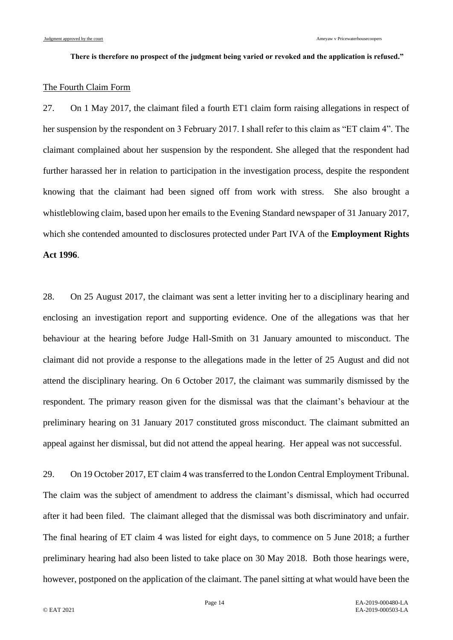#### **There is therefore no prospect of the judgment being varied or revoked and the application is refused."**

### The Fourth Claim Form

27. On 1 May 2017, the claimant filed a fourth ET1 claim form raising allegations in respect of her suspension by the respondent on 3 February 2017. I shall refer to this claim as "ET claim 4". The claimant complained about her suspension by the respondent. She alleged that the respondent had further harassed her in relation to participation in the investigation process, despite the respondent knowing that the claimant had been signed off from work with stress. She also brought a whistleblowing claim, based upon her emails to the Evening Standard newspaper of 31 January 2017, which she contended amounted to disclosures protected under Part IVA of the **Employment Rights Act 1996**.

28. On 25 August 2017, the claimant was sent a letter inviting her to a disciplinary hearing and enclosing an investigation report and supporting evidence. One of the allegations was that her behaviour at the hearing before Judge Hall-Smith on 31 January amounted to misconduct. The claimant did not provide a response to the allegations made in the letter of 25 August and did not attend the disciplinary hearing. On 6 October 2017, the claimant was summarily dismissed by the respondent. The primary reason given for the dismissal was that the claimant's behaviour at the preliminary hearing on 31 January 2017 constituted gross misconduct. The claimant submitted an appeal against her dismissal, but did not attend the appeal hearing. Her appeal was not successful.

29. On 19 October 2017, ET claim 4 was transferred to the London Central Employment Tribunal. The claim was the subject of amendment to address the claimant's dismissal, which had occurred after it had been filed. The claimant alleged that the dismissal was both discriminatory and unfair. The final hearing of ET claim 4 was listed for eight days, to commence on 5 June 2018; a further preliminary hearing had also been listed to take place on 30 May 2018. Both those hearings were, however, postponed on the application of the claimant. The panel sitting at what would have been the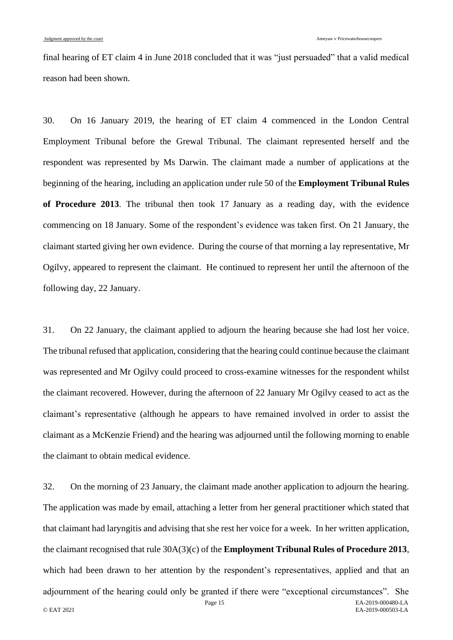final hearing of ET claim 4 in June 2018 concluded that it was "just persuaded" that a valid medical reason had been shown.

30. On 16 January 2019, the hearing of ET claim 4 commenced in the London Central Employment Tribunal before the Grewal Tribunal. The claimant represented herself and the respondent was represented by Ms Darwin. The claimant made a number of applications at the beginning of the hearing, including an application under rule 50 of the **Employment Tribunal Rules of Procedure 2013**. The tribunal then took 17 January as a reading day, with the evidence commencing on 18 January. Some of the respondent's evidence was taken first. On 21 January, the claimant started giving her own evidence. During the course of that morning a lay representative, Mr Ogilvy, appeared to represent the claimant. He continued to represent her until the afternoon of the following day, 22 January.

31. On 22 January, the claimant applied to adjourn the hearing because she had lost her voice. The tribunal refused that application, considering that the hearing could continue because the claimant was represented and Mr Ogilvy could proceed to cross-examine witnesses for the respondent whilst the claimant recovered. However, during the afternoon of 22 January Mr Ogilvy ceased to act as the claimant's representative (although he appears to have remained involved in order to assist the claimant as a McKenzie Friend) and the hearing was adjourned until the following morning to enable the claimant to obtain medical evidence.

Page 15 EA-2019-000480-LA © EAT 2021 EA-2019-000503-LA 32. On the morning of 23 January, the claimant made another application to adjourn the hearing. The application was made by email, attaching a letter from her general practitioner which stated that that claimant had laryngitis and advising that she rest her voice for a week. In her written application, the claimant recognised that rule 30A(3)(c) of the **Employment Tribunal Rules of Procedure 2013**, which had been drawn to her attention by the respondent's representatives, applied and that an adjournment of the hearing could only be granted if there were "exceptional circumstances". She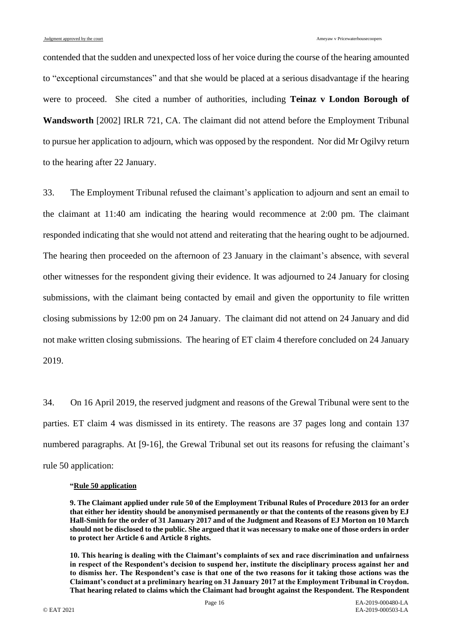contended that the sudden and unexpected loss of her voice during the course of the hearing amounted to "exceptional circumstances" and that she would be placed at a serious disadvantage if the hearing were to proceed. She cited a number of authorities, including **Teinaz v London Borough of Wandsworth** [2002] IRLR 721, CA. The claimant did not attend before the Employment Tribunal to pursue her application to adjourn, which was opposed by the respondent. Nor did Mr Ogilvy return to the hearing after 22 January.

<span id="page-15-0"></span>33. The Employment Tribunal refused the claimant's application to adjourn and sent an email to the claimant at 11:40 am indicating the hearing would recommence at 2:00 pm. The claimant responded indicating that she would not attend and reiterating that the hearing ought to be adjourned. The hearing then proceeded on the afternoon of 23 January in the claimant's absence, with several other witnesses for the respondent giving their evidence. It was adjourned to 24 January for closing submissions, with the claimant being contacted by email and given the opportunity to file written closing submissions by 12:00 pm on 24 January. The claimant did not attend on 24 January and did not make written closing submissions. The hearing of ET claim 4 therefore concluded on 24 January 2019.

34. On 16 April 2019, the reserved judgment and reasons of the Grewal Tribunal were sent to the parties. ET claim 4 was dismissed in its entirety. The reasons are 37 pages long and contain 137 numbered paragraphs. At [9-16], the Grewal Tribunal set out its reasons for refusing the claimant's rule 50 application:

#### **"Rule 50 application**

**10. This hearing is dealing with the Claimant's complaints of sex and race discrimination and unfairness in respect of the Respondent's decision to suspend her, institute the disciplinary process against her and to dismiss her. The Respondent's case is that one of the two reasons for it taking those actions was the Claimant's conduct at a preliminary hearing on 31 January 2017 at the Employment Tribunal in Croydon. That hearing related to claims which the Claimant had brought against the Respondent. The Respondent** 

**<sup>9.</sup> The Claimant applied under rule 50 of the Employment Tribunal Rules of Procedure 2013 for an order that either her identity should be anonymised permanently or that the contents of the reasons given by EJ Hall-Smith for the order of 31 January 2017 and of the Judgment and Reasons of EJ Morton on 10 March should not be disclosed to the public. She argued that it was necessary to make one of those orders in order to protect her Article 6 and Article 8 rights.**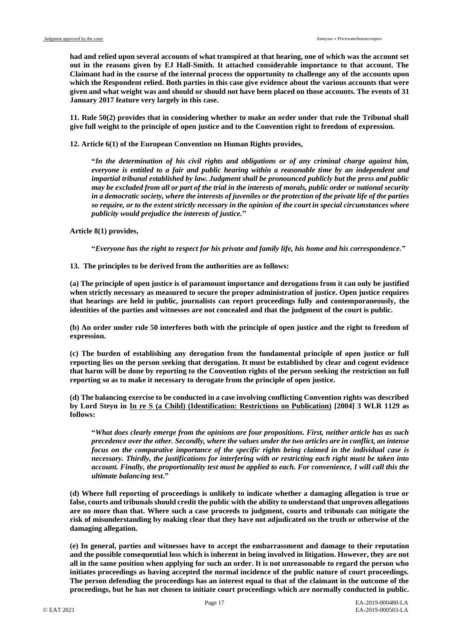**had and relied upon several accounts of what transpired at that hearing, one of which was the account set out in the reasons given by EJ Hall-Smith. It attached considerable importance to that account. The Claimant had in the course of the internal process the opportunity to challenge any of the accounts upon which the Respondent relied. Both parties in this case give evidence about the various accounts that were given and what weight was and should or should not have been placed on those accounts. The events of 31 January 2017 feature very largely in this case.**

**11. Rule 50(2) provides that in considering whether to make an order under that rule the Tribunal shall give full weight to the principle of open justice and to the Convention right to freedom of expression.**

**12. Article 6(1) of the European Convention on Human Rights provides,**

**"***In the determination of his civil rights and obligations or of any criminal charge against him, everyone is entitled to a fair and public hearing within a reasonable time by an independent and impartial tribunal established by law. Judgment shall be pronounced publicly but the press and public may be excluded from all or part of the trial in the interests of morals, public order or national security in a democratic society, where the interests of juveniles or the protection of the private life of the parties so require, or to the extent strictly necessary in the opinion of the court in special circumstances where publicity would prejudice the interests of justice.***"**

**Article 8(1) provides,**

**"***Everyone has the right to respect for his private and family life, his home and his correspondence.***"** 

**13. The principles to be derived from the authorities are as follows:** 

**(a) The principle of open justice is of paramount importance and derogations from it can only be justified when strictly necessary as measured to secure the proper administration of justice. Open justice requires that hearings are held in public, journalists can report proceedings fully and contemporaneously, the identities of the parties and witnesses are not concealed and that the judgment of the court is public.** 

**(b) An order under rule 50 interferes both with the principle of open justice and the right to freedom of expression.** 

**(c) The burden of establishing any derogation from the fundamental principle of open justice or full reporting lies on the person seeking that derogation. It must be established by clear and cogent evidence that harm will be done by reporting to the Convention rights of the person seeking the restriction on full reporting so as to make it necessary to derogate from the principle of open justice.** 

**(d) The balancing exercise to be conducted in a case involving conflicting Convention rights was described by Lord Steyn in In re S (a Child) (Identification: Restrictions on Publication) [2004] 3 WLR 1129 as follows:** 

**"***What does clearly emerge from the opinions are four propositions. First, neither article has as such precedence over the other. Secondly, where the values under the two articles are in conflict, an intense focus on the comparative importance of the specific rights being claimed in the individual case is necessary. Thirdly, the justifications for interfering with or restricting each right must be taken into account. Finally, the proportionality test must be applied to each. For convenience, I will call this the ultimate balancing test.***"** 

**(d) Where full reporting of proceedings is unlikely to indicate whether a damaging allegation is true or false, courts and tribunals should credit the public with the ability to understand that unproven allegations are no more than that. Where such a case proceeds to judgment, courts and tribunals can mitigate the risk of misunderstanding by making clear that they have not adjudicated on the truth or otherwise of the damaging allegation.** 

**(e) In general, parties and witnesses have to accept the embarrassment and damage to their reputation and the possible consequential loss which is inherent in being involved in litigation. However, they are not all in the same position when applying for such an order. It is not unreasonable to regard the person who initiates proceedings as having accepted the normal incidence of the public nature of court proceedings. The person defending the proceedings has an interest equal to that of the claimant in the outcome of the proceedings, but he has not chosen to initiate court proceedings which are normally conducted in public.**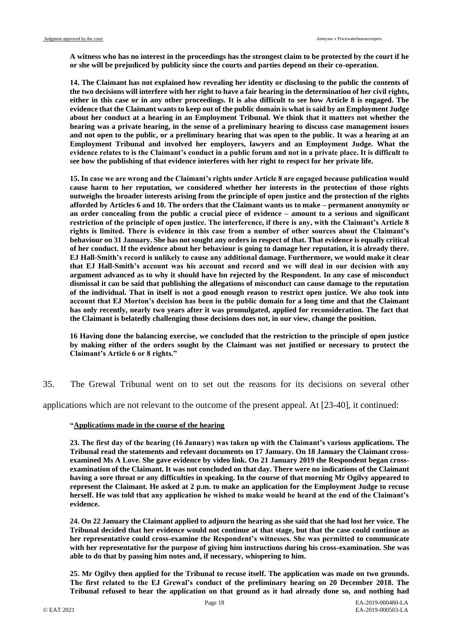**A witness who has no interest in the proceedings has the strongest claim to be protected by the court if he or she will be prejudiced by publicity since the courts and parties depend on their co-operation.** 

**14. The Claimant has not explained how revealing her identity or disclosing to the public the contents of the two decisions will interfere with her right to have a fair hearing in the determination of her civil rights, either in this case or in any other proceedings. It is also difficult to see how Article 8 is engaged. The evidence that the Claimant wants to keep out of the public domain is what is said by an Employment Judge about her conduct at a hearing in an Employment Tribunal. We think that it matters not whether the hearing was a private hearing, in the sense of a preliminary hearing to discuss case management issues and not open to the public, or a preliminary hearing that was open to the public. It was a hearing at an Employment Tribunal and involved her employers, lawyers and an Employment Judge. What the evidence relates to is the Claimant's conduct in a public forum and not in a private place. It is difficult to see how the publishing of that evidence interferes with her right to respect for her private life.** 

**15. In case we are wrong and the Claimant's rights under Article 8 are engaged because publication would cause harm to her reputation, we considered whether her interests in the protection of those rights outweighs the broader interests arising from the principle of open justice and the protection of the rights afforded by Articles 6 and 10. The orders that the Claimant wants us to make – permanent anonymity or an order concealing from the public a crucial piece of evidence – amount to a serious and significant restriction of the principle of open justice. The interference, if there is any, with the Claimant's Article 8 rights is limited. There is evidence in this case from a number of other sources about the Claimant's behaviour on 31 January. She has not sought any orders in respect of that. That evidence is equally critical of her conduct. If the evidence about her behaviour is going to damage her reputation, it is already there. EJ Hall-Smith's record is unlikely to cause any additional damage. Furthermore, we would make it clear that EJ Hall-Smith's account was his account and record and we will deal in our decision with any argument advanced as to why it should have bn rejected by the Respondent. In any case of misconduct dismissal it can be said that publishing the allegations of misconduct can cause damage to the reputation of the individual. That in itself is not a good enough reason to restrict open justice. We also took into account that EJ Morton's decision has been in the public domain for a long time and that the Claimant has only recently, nearly two years after it was promulgated, applied for reconsideration. The fact that the Claimant is belatedly challenging those decisions does not, in our view, change the position.** 

**16 Having done the balancing exercise, we concluded that the restriction to the principle of open justice by making either of the orders sought by the Claimant was not justified or necessary to protect the Claimant's Article 6 or 8 rights."**

35. The Grewal Tribunal went on to set out the reasons for its decisions on several other

applications which are not relevant to the outcome of the present appeal. At [23-40], it continued:

#### **"Applications made in the course of the hearing**

**23. The first day of the hearing (16 January) was taken up with the Claimant's various applications. The Tribunal read the statements and relevant documents on 17 January. On 18 January the Claimant crossexamined Ms A Love. She gave evidence by video link. On 21 January 2019 the Respondent began crossexamination of the Claimant. It was not concluded on that day. There were no indications of the Claimant having a sore throat or any difficulties in speaking. In the course of that morning Mr Ogilvy appeared to represent the Claimant. He asked at 2 p.m. to make an application for the Employment Judge to recuse herself. He was told that any application he wished to make would be heard at the end of the Claimant's evidence.**

**24. On 22 January the Claimant applied to adjourn the hearing as she said that she had lost her voice. The Tribunal decided that her evidence would not continue at that stage, but that the case could continue as her representative could cross-examine the Respondent's witnesses. She was permitted to communicate with her representative for the purpose of giving him instructions during his cross-examination. She was able to do that by passing him notes and, if necessary, whispering to him.**

**25. Mr Ogilvy then applied for the Tribunal to recuse itself. The application was made on two grounds. The first related to the EJ Grewal's conduct of the preliminary hearing on 20 December 2018. The Tribunal refused to hear the application on that ground as it had already done so, and nothing had**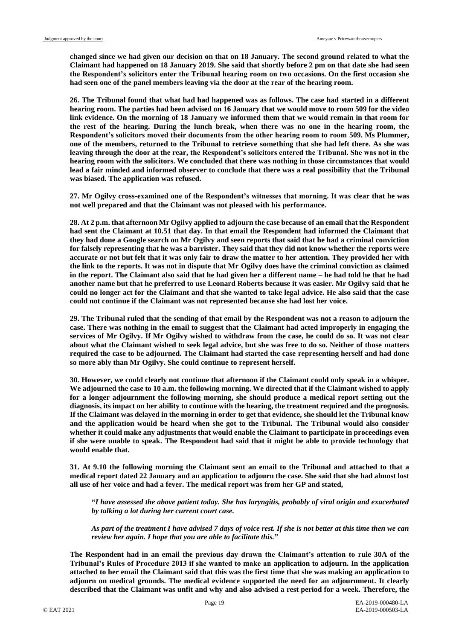**changed since we had given our decision on that on 18 January. The second ground related to what the Claimant had happened on 18 January 2019. She said that shortly before 2 pm on that date she had seen the Respondent's solicitors enter the Tribunal hearing room on two occasions. On the first occasion she had seen one of the panel members leaving via the door at the rear of the hearing room.**

**26. The Tribunal found that what had had happened was as follows. The case had started in a different hearing room. The parties had been advised on 16 January that we would move to room 509 for the video link evidence. On the morning of 18 January we informed them that we would remain in that room for the rest of the hearing. During the lunch break, when there was no one in the hearing room, the Respondent's solicitors moved their documents from the other hearing room to room 509. Ms Plummer, one of the members, returned to the Tribunal to retrieve something that she had left there. As she was leaving through the door at the rear, the Respondent's solicitors entered the Tribunal. She was not in the hearing room with the solicitors. We concluded that there was nothing in those circumstances that would lead a fair minded and informed observer to conclude that there was a real possibility that the Tribunal was biased. The application was refused.**

**27. Mr Ogilvy cross-examined one of the Respondent's witnesses that morning. It was clear that he was not well prepared and that the Claimant was not pleased with his performance.**

**28. At 2 p.m. that afternoon Mr Ogilvy applied to adjourn the case because of an email that the Respondent had sent the Claimant at 10.51 that day. In that email the Respondent had informed the Claimant that they had done a Google search on Mr Ogilvy and seen reports that said that he had a criminal conviction for falsely representing that he was a barrister. They said that they did not know whether the reports were accurate or not but felt that it was only fair to draw the matter to her attention. They provided her with the link to the reports. It was not in dispute that Mr Ogilvy does have the criminal conviction as claimed in the report. The Claimant also said that he had given her a different name – he had told he that he had another name but that he preferred to use Leonard Roberts because it was easier. Mr Ogilvy said that he could no longer act for the Claimant and that she wanted to take legal advice. He also said that the case could not continue if the Claimant was not represented because she had lost her voice.**

**29. The Tribunal ruled that the sending of that email by the Respondent was not a reason to adjourn the case. There was nothing in the email to suggest that the Claimant had acted improperly in engaging the services of Mr Ogilvy. If Mr Ogilvy wished to withdraw from the case, he could do so. It was not clear about what the Claimant wished to seek legal advice, but she was free to do so. Neither of those matters required the case to be adjourned. The Claimant had started the case representing herself and had done so more ably than Mr Ogilvy. She could continue to represent herself.**

**30. However, we could clearly not continue that afternoon if the Claimant could only speak in a whisper. We adjourned the case to 10 a.m. the following morning. We directed that if the Claimant wished to apply for a longer adjournment the following morning, she should produce a medical report setting out the diagnosis, its impact on her ability to continue with the hearing, the treatment required and the prognosis. If the Claimant was delayed in the morning in order to get that evidence, she should let the Tribunal know and the application would be heard when she got to the Tribunal. The Tribunal would also consider whether it could make any adjustments that would enable the Claimant to participate in proceedings even if she were unable to speak. The Respondent had said that it might be able to provide technology that would enable that.**

**31. At 9.10 the following morning the Claimant sent an email to the Tribunal and attached to that a medical report dated 22 January and an application to adjourn the case. She said that she had almost lost all use of her voice and had a fever. The medical report was from her GP and stated,**

**"***I have assessed the above patient today. She has laryngitis, probably of viral origin and exacerbated by talking a lot during her current court case.* 

*As part of the treatment I have advised 7 days of voice rest. If she is not better at this time then we can review her again. I hope that you are able to facilitate this.***"**

**The Respondent had in an email the previous day drawn the Claimant's attention to rule 30A of the Tribunal's Rules of Procedure 2013 if she wanted to make an application to adjourn. In the application attached to her email the Claimant said that this was the first time that she was making an application to adjourn on medical grounds. The medical evidence supported the need for an adjournment. It clearly described that the Claimant was unfit and why and also advised a rest period for a week. Therefore, the**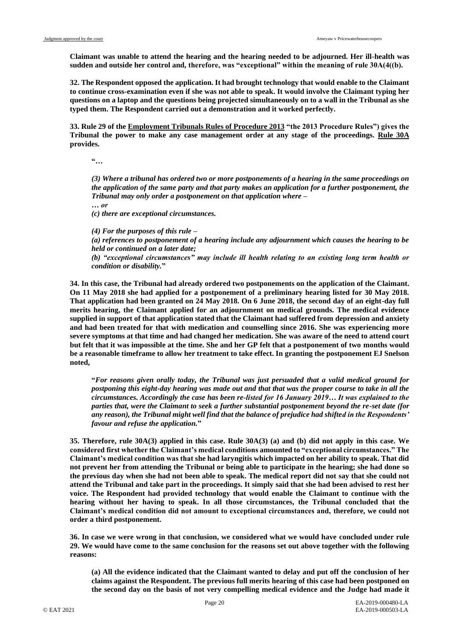**Claimant was unable to attend the hearing and the hearing needed to be adjourned. Her ill-health was sudden and outside her control and, therefore, was "exceptional" within the meaning of rule 30A(4((b).**

**32. The Respondent opposed the application. It had brought technology that would enable to the Claimant to continue cross-examination even if she was not able to speak. It would involve the Claimant typing her questions on a laptop and the questions being projected simultaneously on to a wall in the Tribunal as she typed them. The Respondent carried out a demonstration and it worked perfectly.**

**33. Rule 29 of the Employment Tribunals Rules of Procedure 2013 "the 2013 Procedure Rules") gives the Tribunal the power to make any case management order at any stage of the proceedings. Rule 30A provides.**

**"***…*

*(3) Where a tribunal has ordered two or more postponements of a hearing in the same proceedings on the application of the same party and that party makes an application for a further postponement, the Tribunal may only order a postponement on that application where – … or*

*(c) there are exceptional circumstances.*

*(4) For the purposes of this rule –*

*(a) references to postponement of a hearing include any adjournment which causes the hearing to be held or continued on a later date;*

*(b) "exceptional circumstances" may include ill health relating to an existing long term health or condition or disability.***"**

**34. In this case, the Tribunal had already ordered two postponements on the application of the Claimant. On 11 May 2018 she had applied for a postponement of a preliminary hearing listed for 30 May 2018. That application had been granted on 24 May 2018. On 6 June 2018, the second day of an eight-day full merits hearing, the Claimant applied for an adjournment on medical grounds. The medical evidence supplied in support of that application stated that the Claimant had suffered from depression and anxiety and had been treated for that with medication and counselling since 2016. She was experiencing more severe symptoms at that time and had changed her medication. She was aware of the need to attend court but felt that it was impossible at the time. She and her GP felt that a postponement of two months would be a reasonable timeframe to allow her treatment to take effect. In granting the postponement EJ Snelson noted,**

**"***For reasons given orally today, the Tribunal was just persuaded that a valid medical ground for postponing this eight-day hearing was made out and that that was the proper course to take in all the circumstances. Accordingly the case has been re-listed for 16 January 2019… It was explained to the parties that, were the Claimant to seek a further substantial postponement beyond the re-set date (for any reason), the Tribunal might well find that the balance of prejudice had shifted in the Respondents' favour and refuse the application.***"**

**35. Therefore, rule 30A(3) applied in this case. Rule 30A(3) (a) and (b) did not apply in this case. We considered first whether the Claimant's medical conditions amounted to "exceptional circumstances." The Claimant's medical condition was that she had laryngitis which impacted on her ability to speak. That did not prevent her from attending the Tribunal or being able to participate in the hearing; she had done so the previous day when she had not been able to speak. The medical report did not say that she could not attend the Tribunal and take part in the proceedings. It simply said that she had been advised to rest her voice. The Respondent had provided technology that would enable the Claimant to continue with the hearing without her having to speak. In all those circumstances, the Tribunal concluded that the Claimant's medical condition did not amount to exceptional circumstances and, therefore, we could not order a third postponement.**

**36. In case we were wrong in that conclusion, we considered what we would have concluded under rule 29. We would have come to the same conclusion for the reasons set out above together with the following reasons:**

**(a) All the evidence indicated that the Claimant wanted to delay and put off the conclusion of her claims against the Respondent. The previous full merits hearing of this case had been postponed on the second day on the basis of not very compelling medical evidence and the Judge had made it**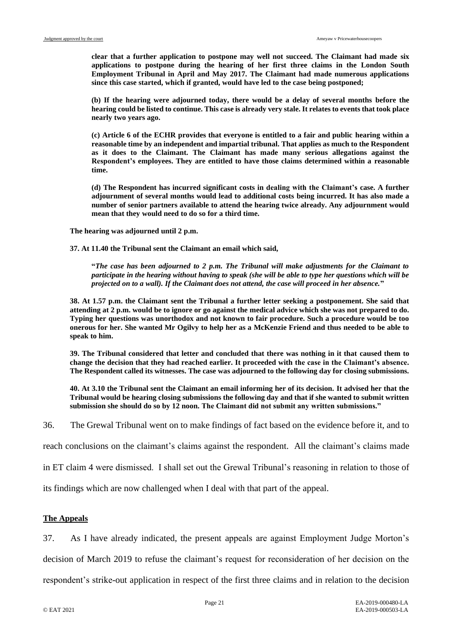**clear that a further application to postpone may well not succeed. The Claimant had made six applications to postpone during the hearing of her first three claims in the London South Employment Tribunal in April and May 2017. The Claimant had made numerous applications since this case started, which if granted, would have led to the case being postponed;**

**(b) If the hearing were adjourned today, there would be a delay of several months before the hearing could be listed to continue. This case is already very stale. It relates to events that took place nearly two years ago.**

**(c) Article 6 of the ECHR provides that everyone is entitled to a fair and public hearing within a reasonable time by an independent and impartial tribunal. That applies as much to the Respondent as it does to the Claimant. The Claimant has made many serious allegations against the Respondent's employees. They are entitled to have those claims determined within a reasonable time.**

**(d) The Respondent has incurred significant costs in dealing with the Claimant's case. A further adjournment of several months would lead to additional costs being incurred. It has also made a number of senior partners available to attend the hearing twice already. Any adjournment would mean that they would need to do so for a third time.**

**The hearing was adjourned until 2 p.m.**

**37. At 11.40 the Tribunal sent the Claimant an email which said,**

**"***The case has been adjourned to 2 p.m. The Tribunal will make adjustments for the Claimant to participate in the hearing without having to speak (she will be able to type her questions which will be projected on to a wall). If the Claimant does not attend, the case will proceed in her absence.***"**

**38. At 1.57 p.m. the Claimant sent the Tribunal a further letter seeking a postponement. She said that attending at 2 p.m. would be to ignore or go against the medical advice which she was not prepared to do. Typing her questions was unorthodox and not known to fair procedure. Such a procedure would be too onerous for her. She wanted Mr Ogilvy to help her as a McKenzie Friend and thus needed to be able to speak to him.**

**39. The Tribunal considered that letter and concluded that there was nothing in it that caused them to change the decision that they had reached earlier. It proceeded with the case in the Claimant's absence. The Respondent called its witnesses. The case was adjourned to the following day for closing submissions.**

**40. At 3.10 the Tribunal sent the Claimant an email informing her of its decision. It advised her that the Tribunal would be hearing closing submissions the following day and that if she wanted to submit written submission she should do so by 12 noon. The Claimant did not submit any written submissions."**

36. The Grewal Tribunal went on to make findings of fact based on the evidence before it, and to

reach conclusions on the claimant's claims against the respondent. All the claimant's claims made

in ET claim 4 were dismissed. I shall set out the Grewal Tribunal's reasoning in relation to those of

its findings which are now challenged when I deal with that part of the appeal.

# **The Appeals**

37. As I have already indicated, the present appeals are against Employment Judge Morton's

decision of March 2019 to refuse the claimant's request for reconsideration of her decision on the

respondent's strike-out application in respect of the first three claims and in relation to the decision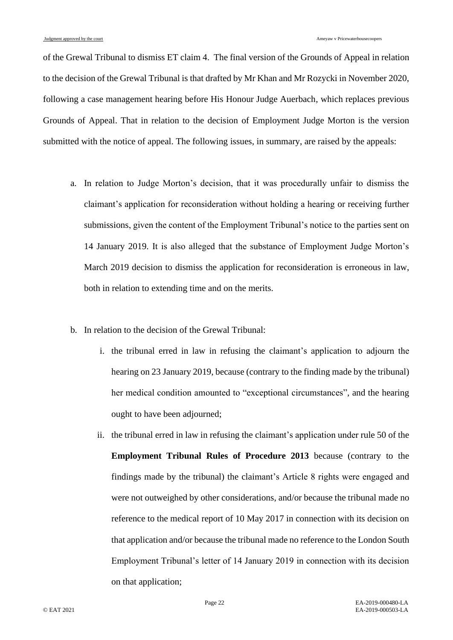of the Grewal Tribunal to dismiss ET claim 4. The final version of the Grounds of Appeal in relation to the decision of the Grewal Tribunal is that drafted by Mr Khan and Mr Rozycki in November 2020, following a case management hearing before His Honour Judge Auerbach, which replaces previous Grounds of Appeal. That in relation to the decision of Employment Judge Morton is the version submitted with the notice of appeal. The following issues, in summary, are raised by the appeals:

- a. In relation to Judge Morton's decision, that it was procedurally unfair to dismiss the claimant's application for reconsideration without holding a hearing or receiving further submissions, given the content of the Employment Tribunal's notice to the parties sent on 14 January 2019. It is also alleged that the substance of Employment Judge Morton's March 2019 decision to dismiss the application for reconsideration is erroneous in law, both in relation to extending time and on the merits.
- b. In relation to the decision of the Grewal Tribunal:
	- i. the tribunal erred in law in refusing the claimant's application to adjourn the hearing on 23 January 2019, because (contrary to the finding made by the tribunal) her medical condition amounted to "exceptional circumstances", and the hearing ought to have been adjourned;
	- ii. the tribunal erred in law in refusing the claimant's application under rule 50 of the **Employment Tribunal Rules of Procedure 2013** because (contrary to the findings made by the tribunal) the claimant's Article 8 rights were engaged and were not outweighed by other considerations, and/or because the tribunal made no reference to the medical report of 10 May 2017 in connection with its decision on that application and/or because the tribunal made no reference to the London South Employment Tribunal's letter of 14 January 2019 in connection with its decision on that application;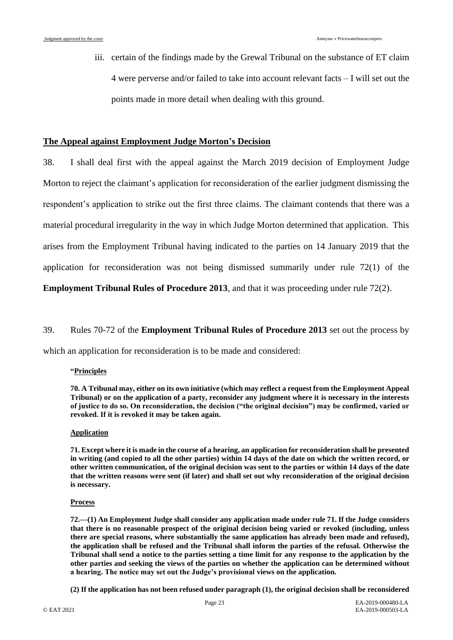iii. certain of the findings made by the Grewal Tribunal on the substance of ET claim 4 were perverse and/or failed to take into account relevant facts – I will set out the points made in more detail when dealing with this ground.

# **The Appeal against Employment Judge Morton's Decision**

38. I shall deal first with the appeal against the March 2019 decision of Employment Judge Morton to reject the claimant's application for reconsideration of the earlier judgment dismissing the respondent's application to strike out the first three claims. The claimant contends that there was a material procedural irregularity in the way in which Judge Morton determined that application. This arises from the Employment Tribunal having indicated to the parties on 14 January 2019 that the application for reconsideration was not being dismissed summarily under rule 72(1) of the

**Employment Tribunal Rules of Procedure 2013**, and that it was proceeding under rule 72(2).

#### 39. Rules 70-72 of the **Employment Tribunal Rules of Procedure 2013** set out the process by

which an application for reconsideration is to be made and considered:

#### **"Principles**

**70. A Tribunal may, either on its own initiative (which may reflect a request from the Employment Appeal Tribunal) or on the application of a party, reconsider any judgment where it is necessary in the interests of justice to do so. On reconsideration, the decision ("the original decision") may be confirmed, varied or revoked. If it is revoked it may be taken again.**

#### **Application**

**71. Except where it is made in the course of a hearing, an application for reconsideration shall be presented in writing (and copied to all the other parties) within 14 days of the date on which the written record, or other written communication, of the original decision was sent to the parties or within 14 days of the date that the written reasons were sent (if later) and shall set out why reconsideration of the original decision is necessary.**

#### **Process**

**72.—(1) An Employment Judge shall consider any application made under rule 71. If the Judge considers that there is no reasonable prospect of the original decision being varied or revoked (including, unless there are special reasons, where substantially the same application has already been made and refused), the application shall be refused and the Tribunal shall inform the parties of the refusal. Otherwise the Tribunal shall send a notice to the parties setting a time limit for any response to the application by the other parties and seeking the views of the parties on whether the application can be determined without a hearing. The notice may set out the Judge's provisional views on the application.**

**(2) If the application has not been refused under paragraph (1), the original decision shall be reconsidered**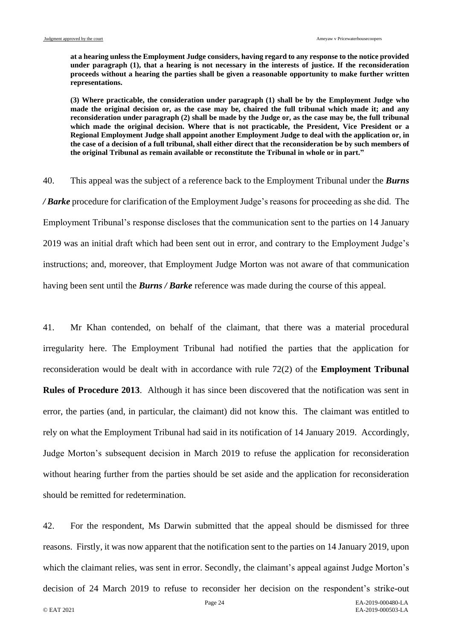**at a hearing unless the Employment Judge considers, having regard to any response to the notice provided under paragraph (1), that a hearing is not necessary in the interests of justice. If the reconsideration proceeds without a hearing the parties shall be given a reasonable opportunity to make further written representations.**

**(3) Where practicable, the consideration under paragraph (1) shall be by the Employment Judge who made the original decision or, as the case may be, chaired the full tribunal which made it; and any reconsideration under paragraph (2) shall be made by the Judge or, as the case may be, the full tribunal which made the original decision. Where that is not practicable, the President, Vice President or a Regional Employment Judge shall appoint another Employment Judge to deal with the application or, in the case of a decision of a full tribunal, shall either direct that the reconsideration be by such members of the original Tribunal as remain available or reconstitute the Tribunal in whole or in part."**

40. This appeal was the subject of a reference back to the Employment Tribunal under the *Burns / Barke* procedure for clarification of the Employment Judge's reasons for proceeding as she did. The Employment Tribunal's response discloses that the communication sent to the parties on 14 January 2019 was an initial draft which had been sent out in error, and contrary to the Employment Judge's instructions; and, moreover, that Employment Judge Morton was not aware of that communication having been sent until the *Burns / Barke* reference was made during the course of this appeal.

41. Mr Khan contended, on behalf of the claimant, that there was a material procedural irregularity here. The Employment Tribunal had notified the parties that the application for reconsideration would be dealt with in accordance with rule 72(2) of the **Employment Tribunal Rules of Procedure 2013**. Although it has since been discovered that the notification was sent in error, the parties (and, in particular, the claimant) did not know this. The claimant was entitled to rely on what the Employment Tribunal had said in its notification of 14 January 2019. Accordingly, Judge Morton's subsequent decision in March 2019 to refuse the application for reconsideration without hearing further from the parties should be set aside and the application for reconsideration should be remitted for redetermination.

42. For the respondent, Ms Darwin submitted that the appeal should be dismissed for three reasons. Firstly, it was now apparent that the notification sent to the parties on 14 January 2019, upon which the claimant relies, was sent in error. Secondly, the claimant's appeal against Judge Morton's decision of 24 March 2019 to refuse to reconsider her decision on the respondent's strike-out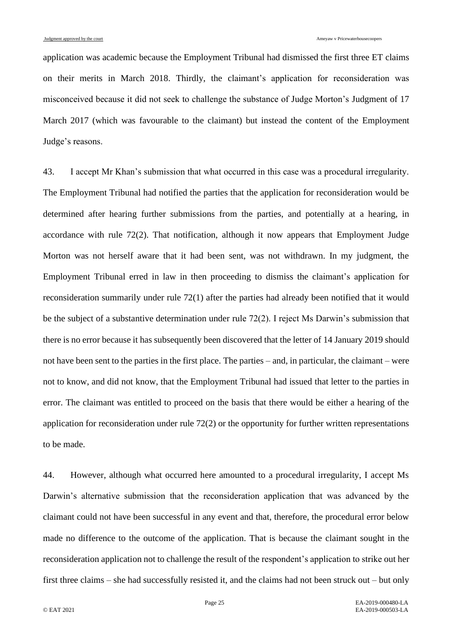application was academic because the Employment Tribunal had dismissed the first three ET claims on their merits in March 2018. Thirdly, the claimant's application for reconsideration was misconceived because it did not seek to challenge the substance of Judge Morton's Judgment of 17 March 2017 (which was favourable to the claimant) but instead the content of the Employment Judge's reasons.

43. I accept Mr Khan's submission that what occurred in this case was a procedural irregularity. The Employment Tribunal had notified the parties that the application for reconsideration would be determined after hearing further submissions from the parties, and potentially at a hearing, in accordance with rule 72(2). That notification, although it now appears that Employment Judge Morton was not herself aware that it had been sent, was not withdrawn. In my judgment, the Employment Tribunal erred in law in then proceeding to dismiss the claimant's application for reconsideration summarily under rule 72(1) after the parties had already been notified that it would be the subject of a substantive determination under rule 72(2). I reject Ms Darwin's submission that there is no error because it has subsequently been discovered that the letter of 14 January 2019 should not have been sent to the parties in the first place. The parties – and, in particular, the claimant – were not to know, and did not know, that the Employment Tribunal had issued that letter to the parties in error. The claimant was entitled to proceed on the basis that there would be either a hearing of the application for reconsideration under rule 72(2) or the opportunity for further written representations to be made.

44. However, although what occurred here amounted to a procedural irregularity, I accept Ms Darwin's alternative submission that the reconsideration application that was advanced by the claimant could not have been successful in any event and that, therefore, the procedural error below made no difference to the outcome of the application. That is because the claimant sought in the reconsideration application not to challenge the result of the respondent's application to strike out her first three claims – she had successfully resisted it, and the claims had not been struck out – but only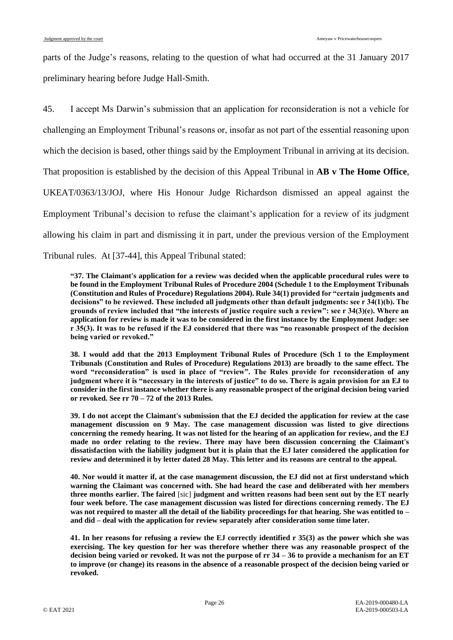parts of the Judge's reasons, relating to the question of what had occurred at the 31 January 2017 preliminary hearing before Judge Hall-Smith.

45. I accept Ms Darwin's submission that an application for reconsideration is not a vehicle for challenging an Employment Tribunal's reasons or, insofar as not part of the essential reasoning upon which the decision is based, other things said by the Employment Tribunal in arriving at its decision. That proposition is established by the decision of this Appeal Tribunal in **AB v The Home Office**, UKEAT/0363/13/JOJ, where His Honour Judge Richardson dismissed an appeal against the Employment Tribunal's decision to refuse the claimant's application for a review of its judgment allowing his claim in part and dismissing it in part, under the previous version of the Employment Tribunal rules. At [37-44], this Appeal Tribunal stated:

**"37. The Claimant's application for a review was decided when the applicable procedural rules were to be found in the Employment Tribunal Rules of Procedure 2004 (Schedule 1 to the Employment Tribunals (Constitution and Rules of Procedure) Regulations 2004). Rule 34(1) provided for "certain judgments and decisions" to be reviewed. These included all judgments other than default judgments: see r 34(1)(b). The grounds of review included that "the interests of justice require such a review": see r 34(3)(e). Where an application for review is made it was to be considered in the first instance by the Employment Judge: see r 35(3). It was to be refused if the EJ considered that there was "no reasonable prospect of the decision being varied or revoked."**

**38. I would add that the 2013 Employment Tribunal Rules of Procedure (Sch 1 to the Employment Tribunals (Constitution and Rules of Procedure) Regulations 2013) are broadly to the same effect. The word "reconsideration" is used in place of "review". The Rules provide for reconsideration of any judgment where it is "necessary in the interests of justice" to do so. There is again provision for an EJ to consider in the first instance whether there is any reasonable prospect of the original decision being varied or revoked. See rr 70 – 72 of the 2013 Rules.**

**39. I do not accept the Claimant's submission that the EJ decided the application for review at the case management discussion on 9 May. The case management discussion was listed to give directions concerning the remedy hearing. It was not listed for the hearing of an application for review, and the EJ made no order relating to the review. There may have been discussion concerning the Claimant's dissatisfaction with the liability judgment but it is plain that the EJ later considered the application for review and determined it by letter dated 28 May. This letter and its reasons are central to the appeal.**

**40. Nor would it matter if, at the case management discussion, the EJ did not at first understand which warning the Claimant was concerned with. She had heard the case and deliberated with her members three months earlier. The faired** [sic] **judgment and written reasons had been sent out by the ET nearly four week before. The case management discussion was listed for directions concerning remedy. The EJ was not required to master all the detail of the liability proceedings for that hearing. She was entitled to – and did – deal with the application for review separately after consideration some time later.**

**41. In her reasons for refusing a review the EJ correctly identified r 35(3) as the power which she was exercising. The key question for her was therefore whether there was any reasonable prospect of the decision being varied or revoked. It was not the purpose of rr 34 – 36 to provide a mechanism for an ET to improve (or change) its reasons in the absence of a reasonable prospect of the decision being varied or revoked.**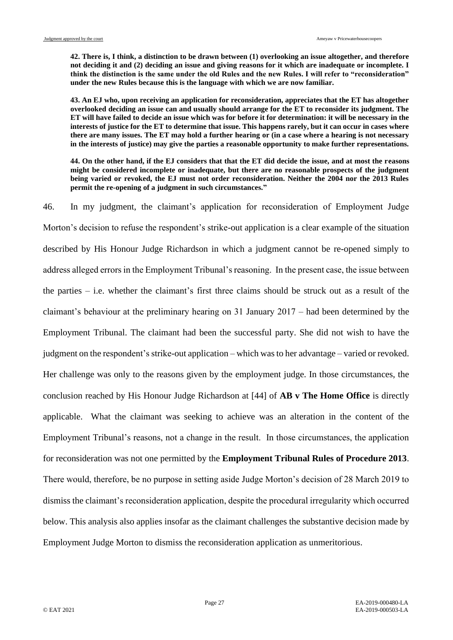**42. There is, I think, a distinction to be drawn between (1) overlooking an issue altogether, and therefore not deciding it and (2) deciding an issue and giving reasons for it which are inadequate or incomplete. I think the distinction is the same under the old Rules and the new Rules. I will refer to "reconsideration" under the new Rules because this is the language with which we are now familiar.**

**43. An EJ who, upon receiving an application for reconsideration, appreciates that the ET has altogether overlooked deciding an issue can and usually should arrange for the ET to reconsider its judgment. The ET will have failed to decide an issue which was for before it for determination: it will be necessary in the interests of justice for the ET to determine that issue. This happens rarely, but it can occur in cases where there are many issues. The ET may hold a further hearing or (in a case where a hearing is not necessary in the interests of justice) may give the parties a reasonable opportunity to make further representations.**

**44. On the other hand, if the EJ considers that that the ET did decide the issue, and at most the reasons might be considered incomplete or inadequate, but there are no reasonable prospects of the judgment being varied or revoked, the EJ must not order reconsideration. Neither the 2004 nor the 2013 Rules permit the re-opening of a judgment in such circumstances."**

46. In my judgment, the claimant's application for reconsideration of Employment Judge Morton's decision to refuse the respondent's strike-out application is a clear example of the situation described by His Honour Judge Richardson in which a judgment cannot be re-opened simply to address alleged errors in the Employment Tribunal's reasoning. In the present case, the issue between the parties – i.e. whether the claimant's first three claims should be struck out as a result of the claimant's behaviour at the preliminary hearing on 31 January 2017 – had been determined by the Employment Tribunal. The claimant had been the successful party. She did not wish to have the judgment on the respondent's strike-out application – which was to her advantage – varied or revoked. Her challenge was only to the reasons given by the employment judge. In those circumstances, the conclusion reached by His Honour Judge Richardson at [44] of **AB v The Home Office** is directly applicable. What the claimant was seeking to achieve was an alteration in the content of the Employment Tribunal's reasons, not a change in the result. In those circumstances, the application for reconsideration was not one permitted by the **Employment Tribunal Rules of Procedure 2013**. There would, therefore, be no purpose in setting aside Judge Morton's decision of 28 March 2019 to dismiss the claimant's reconsideration application, despite the procedural irregularity which occurred below. This analysis also applies insofar as the claimant challenges the substantive decision made by Employment Judge Morton to dismiss the reconsideration application as unmeritorious.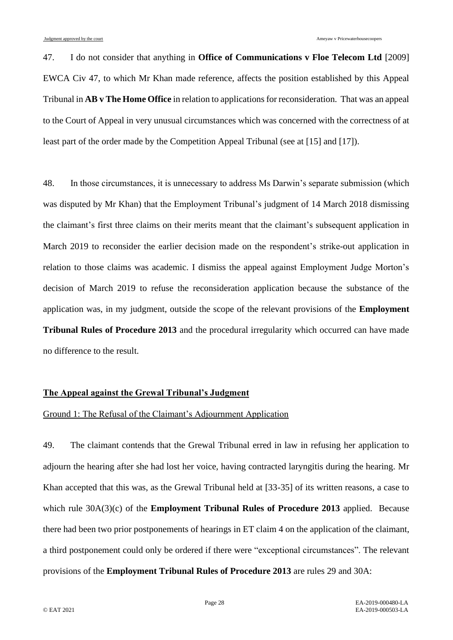47. I do not consider that anything in **Office of Communications v Floe Telecom Ltd** [2009] EWCA Civ 47, to which Mr Khan made reference, affects the position established by this Appeal Tribunal in **AB v The Home Office** in relation to applications for reconsideration. That was an appeal to the Court of Appeal in very unusual circumstances which was concerned with the correctness of at least part of the order made by the Competition Appeal Tribunal (see at [15] and [17]).

48. In those circumstances, it is unnecessary to address Ms Darwin's separate submission (which was disputed by Mr Khan) that the Employment Tribunal's judgment of 14 March 2018 dismissing the claimant's first three claims on their merits meant that the claimant's subsequent application in March 2019 to reconsider the earlier decision made on the respondent's strike-out application in relation to those claims was academic. I dismiss the appeal against Employment Judge Morton's decision of March 2019 to refuse the reconsideration application because the substance of the application was, in my judgment, outside the scope of the relevant provisions of the **Employment Tribunal Rules of Procedure 2013** and the procedural irregularity which occurred can have made no difference to the result.

### **The Appeal against the Grewal Tribunal's Judgment**

# Ground 1: The Refusal of the Claimant's Adjournment Application

49. The claimant contends that the Grewal Tribunal erred in law in refusing her application to adjourn the hearing after she had lost her voice, having contracted laryngitis during the hearing. Mr Khan accepted that this was, as the Grewal Tribunal held at [33-35] of its written reasons, a case to which rule 30A(3)(c) of the **Employment Tribunal Rules of Procedure 2013** applied. Because there had been two prior postponements of hearings in ET claim 4 on the application of the claimant, a third postponement could only be ordered if there were "exceptional circumstances". The relevant provisions of the **Employment Tribunal Rules of Procedure 2013** are rules 29 and 30A: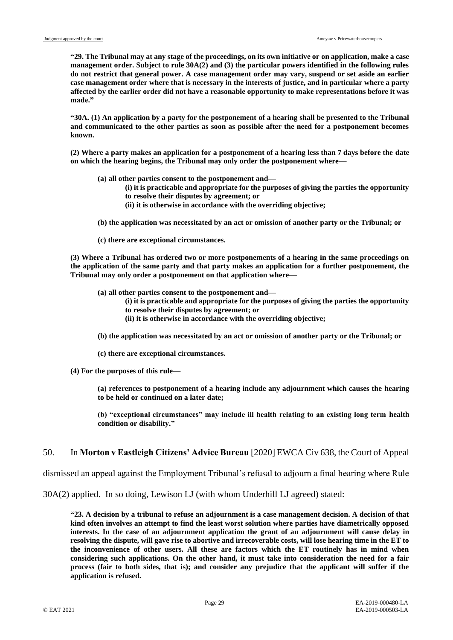**"29. The Tribunal may at any stage of the proceedings, on its own initiative or on application, make a case management order. Subject to rule 30A(2) and (3) the particular powers identified in the following rules do not restrict that general power. A case management order may vary, suspend or set aside an earlier case management order where that is necessary in the interests of justice, and in particular where a party affected by the earlier order did not have a reasonable opportunity to make representations before it was made."**

**"30A. (1) An application by a party for the postponement of a hearing shall be presented to the Tribunal and communicated to the other parties as soon as possible after the need for a postponement becomes known.** 

**(2) Where a party makes an application for a postponement of a hearing less than 7 days before the date on which the hearing begins, the Tribunal may only order the postponement where—**

- **(a) all other parties consent to the postponement and—**
	- **(i) it is practicable and appropriate for the purposes of giving the parties the opportunity to resolve their disputes by agreement; or**
	- **(ii) it is otherwise in accordance with the overriding objective;**
- **(b) the application was necessitated by an act or omission of another party or the Tribunal; or**
- **(c) there are exceptional circumstances.**

**(3) Where a Tribunal has ordered two or more postponements of a hearing in the same proceedings on the application of the same party and that party makes an application for a further postponement, the Tribunal may only order a postponement on that application where—**

**(a) all other parties consent to the postponement and—**

- **(i) it is practicable and appropriate for the purposes of giving the parties the opportunity to resolve their disputes by agreement; or**
- **(ii) it is otherwise in accordance with the overriding objective;**
- **(b) the application was necessitated by an act or omission of another party or the Tribunal; or**
- **(c) there are exceptional circumstances.**
- **(4) For the purposes of this rule—**

**(a) references to postponement of a hearing include any adjournment which causes the hearing to be held or continued on a later date;**

**(b) "exceptional circumstances" may include ill health relating to an existing long term health condition or disability."**

#### 50. In **Morton v Eastleigh Citizens' Advice Bureau** [2020] EWCA Civ 638, the Court of Appeal

dismissed an appeal against the Employment Tribunal's refusal to adjourn a final hearing where Rule

30A(2) applied. In so doing, Lewison LJ (with whom Underhill LJ agreed) stated:

**"23. A decision by a tribunal to refuse an adjournment is a case management decision. A decision of that kind often involves an attempt to find the least worst solution where parties have diametrically opposed interests. In the case of an adjournment application the grant of an adjournment will cause delay in resolving the dispute, will gave rise to abortive and irrecoverable costs, will lose hearing time in the ET to the inconvenience of other users. All these are factors which the ET routinely has in mind when considering such applications. On the other hand, it must take into consideration the need for a fair process (fair to both sides, that is); and consider any prejudice that the applicant will suffer if the application is refused.**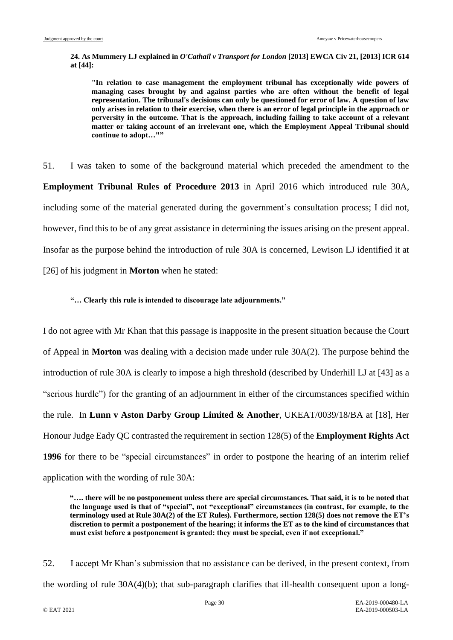**24. As Mummery LJ explained in** *O'Cathail v Transport for London* **[2013] EWCA Civ 21, [2013] ICR 614 at [44]:**

**"In relation to case management the employment tribunal has exceptionally wide powers of managing cases brought by and against parties who are often without the benefit of legal representation. The tribunal's decisions can only be questioned for error of law. A question of law only arises in relation to their exercise, when there is an error of legal principle in the approach or perversity in the outcome. That is the approach, including failing to take account of a relevant matter or taking account of an irrelevant one, which the Employment Appeal Tribunal should continue to adopt…""**

51. I was taken to some of the background material which preceded the amendment to the **Employment Tribunal Rules of Procedure 2013** in April 2016 which introduced rule 30A, including some of the material generated during the government's consultation process; I did not, however, find this to be of any great assistance in determining the issues arising on the present appeal. Insofar as the purpose behind the introduction of rule 30A is concerned, Lewison LJ identified it at [26] of his judgment in **Morton** when he stated:

#### **"… Clearly this rule is intended to discourage late adjournments."**

I do not agree with Mr Khan that this passage is inapposite in the present situation because the Court of Appeal in **Morton** was dealing with a decision made under rule 30A(2). The purpose behind the introduction of rule 30A is clearly to impose a high threshold (described by Underhill LJ at [43] as a "serious hurdle") for the granting of an adjournment in either of the circumstances specified within the rule. In **Lunn v Aston Darby Group Limited & Another**, UKEAT/0039/18/BA at [18], Her Honour Judge Eady QC contrasted the requirement in section 128(5) of the **Employment Rights Act 1996** for there to be "special circumstances" in order to postpone the hearing of an interim relief application with the wording of rule 30A:

**"…. there will be no postponement unless there are special circumstances. That said, it is to be noted that the language used is that of "special", not "exceptional" circumstances (in contrast, for example, to the terminology used at Rule 30A(2) of the ET Rules). Furthermore, section 128(5) does not remove the ET's discretion to permit a postponement of the hearing; it informs the ET as to the kind of circumstances that must exist before a postponement is granted: they must be special, even if not exceptional."**

52. I accept Mr Khan's submission that no assistance can be derived, in the present context, from the wording of rule 30A(4)(b); that sub-paragraph clarifies that ill-health consequent upon a long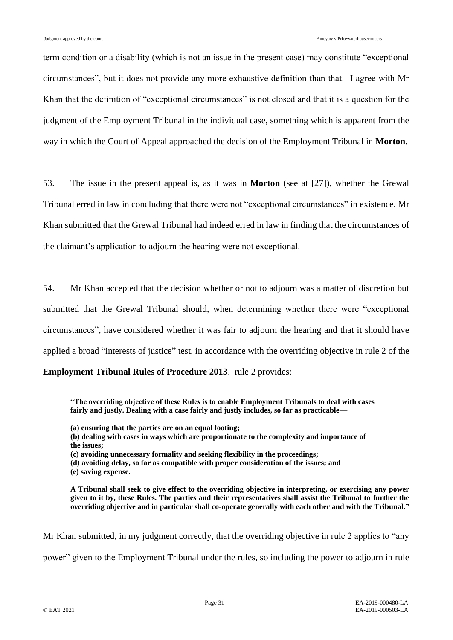term condition or a disability (which is not an issue in the present case) may constitute "exceptional circumstances", but it does not provide any more exhaustive definition than that. I agree with Mr Khan that the definition of "exceptional circumstances" is not closed and that it is a question for the judgment of the Employment Tribunal in the individual case, something which is apparent from the way in which the Court of Appeal approached the decision of the Employment Tribunal in **Morton**.

53. The issue in the present appeal is, as it was in **Morton** (see at [27]), whether the Grewal Tribunal erred in law in concluding that there were not "exceptional circumstances" in existence. Mr Khan submitted that the Grewal Tribunal had indeed erred in law in finding that the circumstances of the claimant's application to adjourn the hearing were not exceptional.

54. Mr Khan accepted that the decision whether or not to adjourn was a matter of discretion but submitted that the Grewal Tribunal should, when determining whether there were "exceptional circumstances", have considered whether it was fair to adjourn the hearing and that it should have applied a broad "interests of justice" test, in accordance with the overriding objective in rule 2 of the

**Employment Tribunal Rules of Procedure 2013**. rule 2 provides:

**"The overriding objective of these Rules is to enable Employment Tribunals to deal with cases fairly and justly. Dealing with a case fairly and justly includes, so far as practicable—**

- **(a) ensuring that the parties are on an equal footing;**
- **(b) dealing with cases in ways which are proportionate to the complexity and importance of the issues;**
- **(c) avoiding unnecessary formality and seeking flexibility in the proceedings;**
- **(d) avoiding delay, so far as compatible with proper consideration of the issues; and**
- **(e) saving expense.**

**A Tribunal shall seek to give effect to the overriding objective in interpreting, or exercising any power given to it by, these Rules. The parties and their representatives shall assist the Tribunal to further the overriding objective and in particular shall co-operate generally with each other and with the Tribunal."**

Mr Khan submitted, in my judgment correctly, that the overriding objective in rule 2 applies to "any

power" given to the Employment Tribunal under the rules, so including the power to adjourn in rule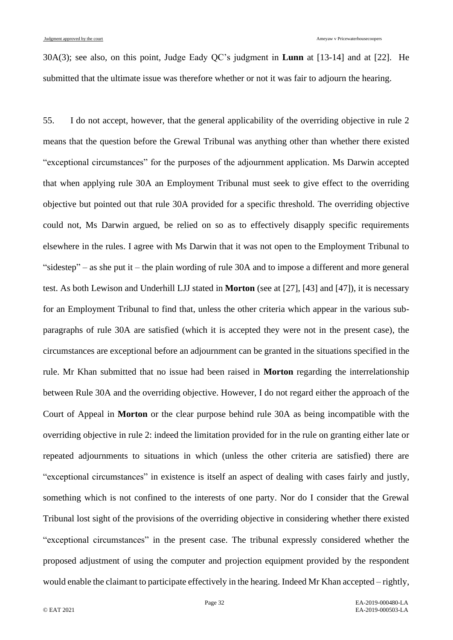30A(3); see also, on this point, Judge Eady QC's judgment in **Lunn** at [13-14] and at [22]. He submitted that the ultimate issue was therefore whether or not it was fair to adjourn the hearing.

55. I do not accept, however, that the general applicability of the overriding objective in rule 2 means that the question before the Grewal Tribunal was anything other than whether there existed "exceptional circumstances" for the purposes of the adjournment application. Ms Darwin accepted that when applying rule 30A an Employment Tribunal must seek to give effect to the overriding objective but pointed out that rule 30A provided for a specific threshold. The overriding objective could not, Ms Darwin argued, be relied on so as to effectively disapply specific requirements elsewhere in the rules. I agree with Ms Darwin that it was not open to the Employment Tribunal to "sidestep" – as she put it – the plain wording of rule 30A and to impose a different and more general test. As both Lewison and Underhill LJJ stated in **Morton** (see at [27], [43] and [47]), it is necessary for an Employment Tribunal to find that, unless the other criteria which appear in the various subparagraphs of rule 30A are satisfied (which it is accepted they were not in the present case), the circumstances are exceptional before an adjournment can be granted in the situations specified in the rule. Mr Khan submitted that no issue had been raised in **Morton** regarding the interrelationship between Rule 30A and the overriding objective. However, I do not regard either the approach of the Court of Appeal in **Morton** or the clear purpose behind rule 30A as being incompatible with the overriding objective in rule 2: indeed the limitation provided for in the rule on granting either late or repeated adjournments to situations in which (unless the other criteria are satisfied) there are "exceptional circumstances" in existence is itself an aspect of dealing with cases fairly and justly, something which is not confined to the interests of one party. Nor do I consider that the Grewal Tribunal lost sight of the provisions of the overriding objective in considering whether there existed "exceptional circumstances" in the present case. The tribunal expressly considered whether the proposed adjustment of using the computer and projection equipment provided by the respondent would enable the claimant to participate effectively in the hearing. Indeed Mr Khan accepted – rightly,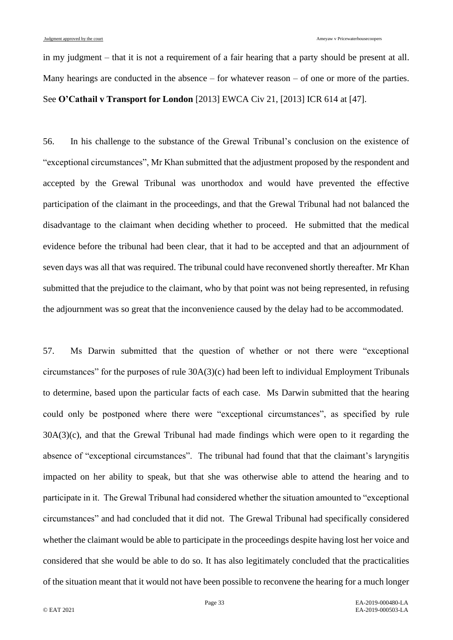in my judgment – that it is not a requirement of a fair hearing that a party should be present at all. Many hearings are conducted in the absence – for whatever reason – of one or more of the parties. See **O'Cathail v Transport for London** [2013] EWCA Civ 21, [2013] ICR 614 at [47].

56. In his challenge to the substance of the Grewal Tribunal's conclusion on the existence of "exceptional circumstances", Mr Khan submitted that the adjustment proposed by the respondent and accepted by the Grewal Tribunal was unorthodox and would have prevented the effective participation of the claimant in the proceedings, and that the Grewal Tribunal had not balanced the disadvantage to the claimant when deciding whether to proceed. He submitted that the medical evidence before the tribunal had been clear, that it had to be accepted and that an adjournment of seven days was all that was required. The tribunal could have reconvened shortly thereafter. Mr Khan submitted that the prejudice to the claimant, who by that point was not being represented, in refusing the adjournment was so great that the inconvenience caused by the delay had to be accommodated.

57. Ms Darwin submitted that the question of whether or not there were "exceptional circumstances" for the purposes of rule 30A(3)(c) had been left to individual Employment Tribunals to determine, based upon the particular facts of each case. Ms Darwin submitted that the hearing could only be postponed where there were "exceptional circumstances", as specified by rule 30A(3)(c), and that the Grewal Tribunal had made findings which were open to it regarding the absence of "exceptional circumstances". The tribunal had found that that the claimant's laryngitis impacted on her ability to speak, but that she was otherwise able to attend the hearing and to participate in it. The Grewal Tribunal had considered whether the situation amounted to "exceptional circumstances" and had concluded that it did not. The Grewal Tribunal had specifically considered whether the claimant would be able to participate in the proceedings despite having lost her voice and considered that she would be able to do so. It has also legitimately concluded that the practicalities of the situation meant that it would not have been possible to reconvene the hearing for a much longer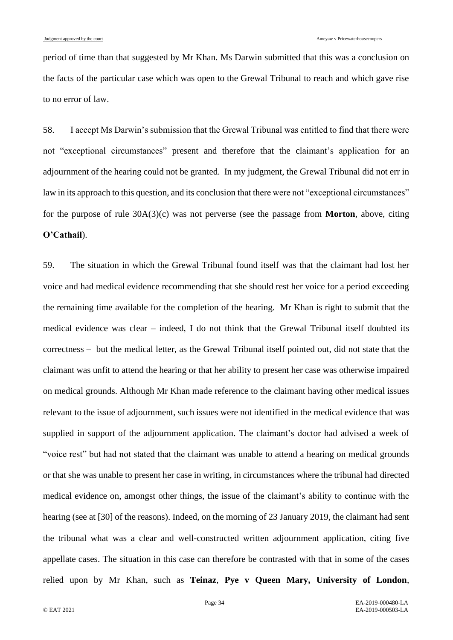period of time than that suggested by Mr Khan. Ms Darwin submitted that this was a conclusion on the facts of the particular case which was open to the Grewal Tribunal to reach and which gave rise to no error of law.

58. I accept Ms Darwin's submission that the Grewal Tribunal was entitled to find that there were not "exceptional circumstances" present and therefore that the claimant's application for an adjournment of the hearing could not be granted. In my judgment, the Grewal Tribunal did not err in law in its approach to this question, and its conclusion that there were not "exceptional circumstances" for the purpose of rule 30A(3)(c) was not perverse (see the passage from **Morton**, above, citing **O'Cathail**).

59. The situation in which the Grewal Tribunal found itself was that the claimant had lost her voice and had medical evidence recommending that she should rest her voice for a period exceeding the remaining time available for the completion of the hearing. Mr Khan is right to submit that the medical evidence was clear – indeed, I do not think that the Grewal Tribunal itself doubted its correctness – but the medical letter, as the Grewal Tribunal itself pointed out, did not state that the claimant was unfit to attend the hearing or that her ability to present her case was otherwise impaired on medical grounds. Although Mr Khan made reference to the claimant having other medical issues relevant to the issue of adjournment, such issues were not identified in the medical evidence that was supplied in support of the adjournment application. The claimant's doctor had advised a week of "voice rest" but had not stated that the claimant was unable to attend a hearing on medical grounds or that she was unable to present her case in writing, in circumstances where the tribunal had directed medical evidence on, amongst other things, the issue of the claimant's ability to continue with the hearing (see at [30] of the reasons). Indeed, on the morning of 23 January 2019, the claimant had sent the tribunal what was a clear and well-constructed written adjournment application, citing five appellate cases. The situation in this case can therefore be contrasted with that in some of the cases relied upon by Mr Khan, such as **Teinaz**, **Pye v Queen Mary, University of London**,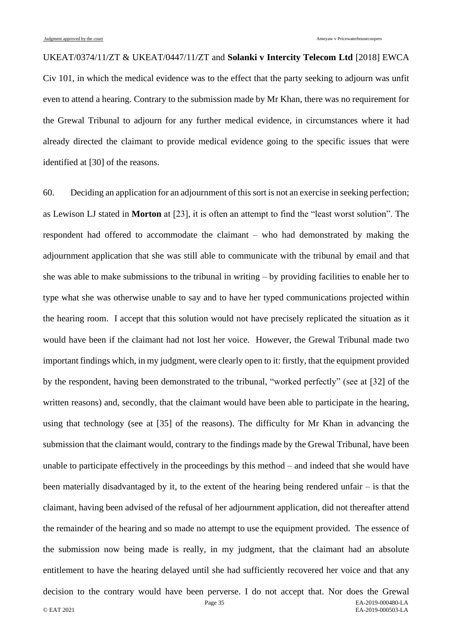UKEAT/0374/11/ZT & UKEAT/0447/11/ZT and **Solanki v Intercity Telecom Ltd** [2018] EWCA Civ 101, in which the medical evidence was to the effect that the party seeking to adjourn was unfit even to attend a hearing. Contrary to the submission made by Mr Khan, there was no requirement for the Grewal Tribunal to adjourn for any further medical evidence, in circumstances where it had already directed the claimant to provide medical evidence going to the specific issues that were identified at [30] of the reasons.

60. Deciding an application for an adjournment of this sort is not an exercise in seeking perfection; as Lewison LJ stated in **Morton** at [23], it is often an attempt to find the "least worst solution". The respondent had offered to accommodate the claimant – who had demonstrated by making the adjournment application that she was still able to communicate with the tribunal by email and that she was able to make submissions to the tribunal in writing – by providing facilities to enable her to type what she was otherwise unable to say and to have her typed communications projected within the hearing room. I accept that this solution would not have precisely replicated the situation as it would have been if the claimant had not lost her voice. However, the Grewal Tribunal made two important findings which, in my judgment, were clearly open to it: firstly, that the equipment provided by the respondent, having been demonstrated to the tribunal, "worked perfectly" (see at [32] of the written reasons) and, secondly, that the claimant would have been able to participate in the hearing, using that technology (see at [35] of the reasons). The difficulty for Mr Khan in advancing the submission that the claimant would, contrary to the findings made by the Grewal Tribunal, have been unable to participate effectively in the proceedings by this method – and indeed that she would have been materially disadvantaged by it, to the extent of the hearing being rendered unfair – is that the claimant, having been advised of the refusal of her adjournment application, did not thereafter attend the remainder of the hearing and so made no attempt to use the equipment provided. The essence of the submission now being made is really, in my judgment, that the claimant had an absolute entitlement to have the hearing delayed until she had sufficiently recovered her voice and that any decision to the contrary would have been perverse. I do not accept that. Nor does the Grewal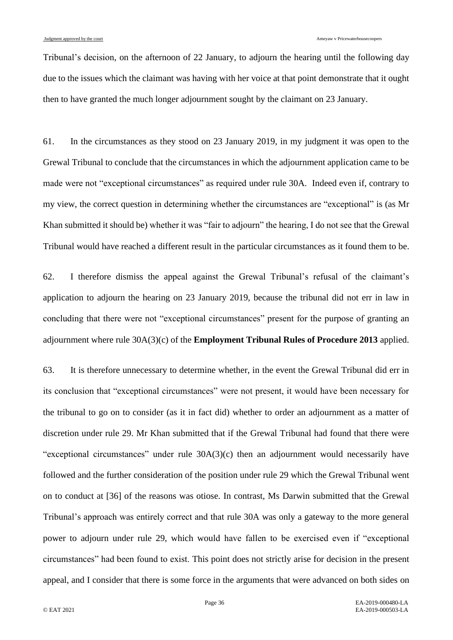Tribunal's decision, on the afternoon of 22 January, to adjourn the hearing until the following day due to the issues which the claimant was having with her voice at that point demonstrate that it ought then to have granted the much longer adjournment sought by the claimant on 23 January.

61. In the circumstances as they stood on 23 January 2019, in my judgment it was open to the Grewal Tribunal to conclude that the circumstances in which the adjournment application came to be made were not "exceptional circumstances" as required under rule 30A. Indeed even if, contrary to my view, the correct question in determining whether the circumstances are "exceptional" is (as Mr Khan submitted it should be) whether it was "fair to adjourn" the hearing, I do not see that the Grewal Tribunal would have reached a different result in the particular circumstances as it found them to be.

62. I therefore dismiss the appeal against the Grewal Tribunal's refusal of the claimant's application to adjourn the hearing on 23 January 2019, because the tribunal did not err in law in concluding that there were not "exceptional circumstances" present for the purpose of granting an adjournment where rule 30A(3)(c) of the **Employment Tribunal Rules of Procedure 2013** applied.

63. It is therefore unnecessary to determine whether, in the event the Grewal Tribunal did err in its conclusion that "exceptional circumstances" were not present, it would have been necessary for the tribunal to go on to consider (as it in fact did) whether to order an adjournment as a matter of discretion under rule 29. Mr Khan submitted that if the Grewal Tribunal had found that there were "exceptional circumstances" under rule 30A(3)(c) then an adjournment would necessarily have followed and the further consideration of the position under rule 29 which the Grewal Tribunal went on to conduct at [36] of the reasons was otiose. In contrast, Ms Darwin submitted that the Grewal Tribunal's approach was entirely correct and that rule 30A was only a gateway to the more general power to adjourn under rule 29, which would have fallen to be exercised even if "exceptional circumstances" had been found to exist. This point does not strictly arise for decision in the present appeal, and I consider that there is some force in the arguments that were advanced on both sides on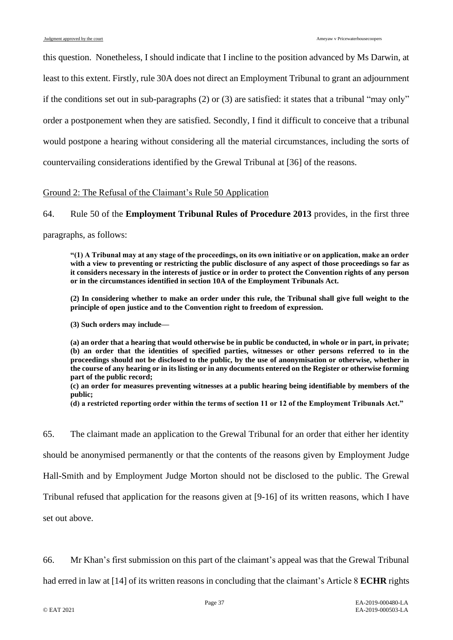this question. Nonetheless, I should indicate that I incline to the position advanced by Ms Darwin, at least to this extent. Firstly, rule 30A does not direct an Employment Tribunal to grant an adjournment if the conditions set out in sub-paragraphs  $(2)$  or  $(3)$  are satisfied: it states that a tribunal "may only" order a postponement when they are satisfied. Secondly, I find it difficult to conceive that a tribunal would postpone a hearing without considering all the material circumstances, including the sorts of countervailing considerations identified by the Grewal Tribunal at [36] of the reasons.

#### Ground 2: The Refusal of the Claimant's Rule 50 Application

#### 64. Rule 50 of the **Employment Tribunal Rules of Procedure 2013** provides, in the first three

paragraphs, as follows:

**"(1) A Tribunal may at any stage of the proceedings, on its own initiative or on application, make an order with a view to preventing or restricting the public disclosure of any aspect of those proceedings so far as it considers necessary in the interests of justice or in order to protect the Convention rights of any person or in the circumstances identified in section 10A of the Employment Tribunals Act.**

**(2) In considering whether to make an order under this rule, the Tribunal shall give full weight to the principle of open justice and to the Convention right to freedom of expression.** 

**(3) Such orders may include—**

**(a) an order that a hearing that would otherwise be in public be conducted, in whole or in part, in private; (b) an order that the identities of specified parties, witnesses or other persons referred to in the proceedings should not be disclosed to the public, by the use of anonymisation or otherwise, whether in the course of any hearing or in its listing or in any documents entered on the Register or otherwise forming part of the public record;** 

**(c) an order for measures preventing witnesses at a public hearing being identifiable by members of the public;** 

**(d) a restricted reporting order within the terms of section 11 or 12 of the Employment Tribunals Act."**

65. The claimant made an application to the Grewal Tribunal for an order that either her identity should be anonymised permanently or that the contents of the reasons given by Employment Judge Hall-Smith and by Employment Judge Morton should not be disclosed to the public. The Grewal Tribunal refused that application for the reasons given at [9-16] of its written reasons, which I have set out above.

66. Mr Khan's first submission on this part of the claimant's appeal was that the Grewal Tribunal

had erred in law at [14] of its written reasons in concluding that the claimant's Article 8 **ECHR** rights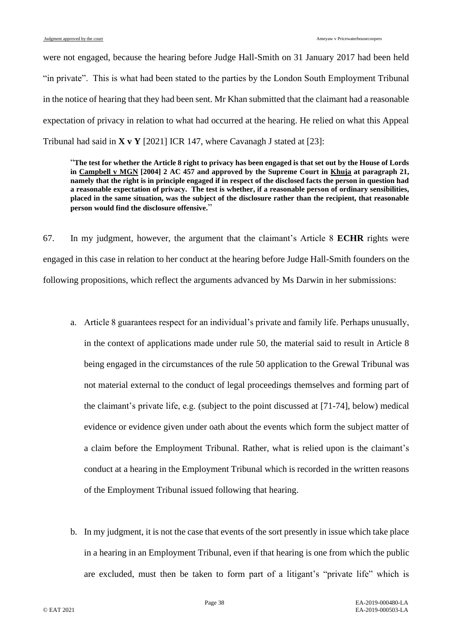were not engaged, because the hearing before Judge Hall-Smith on 31 January 2017 had been held "in private". This is what had been stated to the parties by the London South Employment Tribunal in the notice of hearing that they had been sent. Mr Khan submitted that the claimant had a reasonable expectation of privacy in relation to what had occurred at the hearing. He relied on what this Appeal Tribunal had said in **X v Y** [2021] ICR 147, where Cavanagh J stated at [23]:

"**The test for whether the Article 8 right to privacy has been engaged is that set out by the House of Lords in Campbell v MGN [2004] 2 AC 457 and approved by the Supreme Court in Khuja at paragraph 21, namely that the right is in principle engaged if in respect of the disclosed facts the person in question had a reasonable expectation of privacy. The test is whether, if a reasonable person of ordinary sensibilities, placed in the same situation, was the subject of the disclosure rather than the recipient, that reasonable person would find the disclosure offensive.**"

67. In my judgment, however, the argument that the claimant's Article 8 **ECHR** rights were engaged in this case in relation to her conduct at the hearing before Judge Hall-Smith founders on the following propositions, which reflect the arguments advanced by Ms Darwin in her submissions:

- a. Article 8 guarantees respect for an individual's private and family life. Perhaps unusually, in the context of applications made under rule 50, the material said to result in Article 8 being engaged in the circumstances of the rule 50 application to the Grewal Tribunal was not material external to the conduct of legal proceedings themselves and forming part of the claimant's private life, e.g. (subject to the point discussed at [\[71-](#page-41-0)[74\]](#page-42-0), below) medical evidence or evidence given under oath about the events which form the subject matter of a claim before the Employment Tribunal. Rather, what is relied upon is the claimant's conduct at a hearing in the Employment Tribunal which is recorded in the written reasons of the Employment Tribunal issued following that hearing.
- b. In my judgment, it is not the case that events of the sort presently in issue which take place in a hearing in an Employment Tribunal, even if that hearing is one from which the public are excluded, must then be taken to form part of a litigant's "private life" which is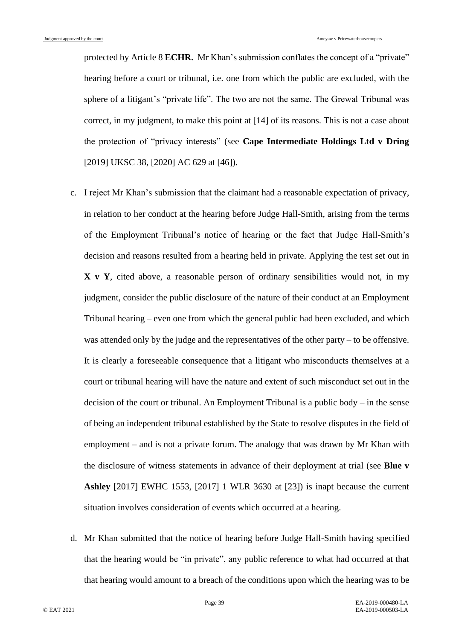protected by Article 8 **ECHR.** Mr Khan's submission conflates the concept of a "private" hearing before a court or tribunal, i.e. one from which the public are excluded, with the sphere of a litigant's "private life". The two are not the same. The Grewal Tribunal was correct, in my judgment, to make this point at [14] of its reasons. This is not a case about the protection of "privacy interests" (see **Cape Intermediate Holdings Ltd v Dring** [2019] UKSC 38, [2020] AC 629 at [46]).

- c. I reject Mr Khan's submission that the claimant had a reasonable expectation of privacy, in relation to her conduct at the hearing before Judge Hall-Smith, arising from the terms of the Employment Tribunal's notice of hearing or the fact that Judge Hall-Smith's decision and reasons resulted from a hearing held in private. Applying the test set out in **X v Y**, cited above, a reasonable person of ordinary sensibilities would not, in my judgment, consider the public disclosure of the nature of their conduct at an Employment Tribunal hearing – even one from which the general public had been excluded, and which was attended only by the judge and the representatives of the other party – to be offensive. It is clearly a foreseeable consequence that a litigant who misconducts themselves at a court or tribunal hearing will have the nature and extent of such misconduct set out in the decision of the court or tribunal. An Employment Tribunal is a public body – in the sense of being an independent tribunal established by the State to resolve disputes in the field of employment – and is not a private forum. The analogy that was drawn by Mr Khan with the disclosure of witness statements in advance of their deployment at trial (see **Blue v Ashley** [2017] EWHC 1553, [2017] 1 WLR 3630 at [23]) is inapt because the current situation involves consideration of events which occurred at a hearing.
- d. Mr Khan submitted that the notice of hearing before Judge Hall-Smith having specified that the hearing would be "in private", any public reference to what had occurred at that that hearing would amount to a breach of the conditions upon which the hearing was to be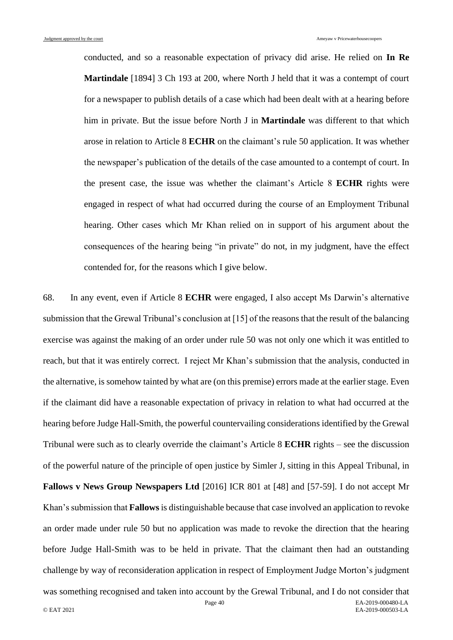conducted, and so a reasonable expectation of privacy did arise. He relied on **In Re Martindale** [1894] 3 Ch 193 at 200, where North J held that it was a contempt of court for a newspaper to publish details of a case which had been dealt with at a hearing before him in private. But the issue before North J in **Martindale** was different to that which arose in relation to Article 8 **ECHR** on the claimant's rule 50 application. It was whether the newspaper's publication of the details of the case amounted to a contempt of court. In the present case, the issue was whether the claimant's Article 8 **ECHR** rights were engaged in respect of what had occurred during the course of an Employment Tribunal hearing. Other cases which Mr Khan relied on in support of his argument about the consequences of the hearing being "in private" do not, in my judgment, have the effect contended for, for the reasons which I give below.

68. In any event, even if Article 8 **ECHR** were engaged, I also accept Ms Darwin's alternative submission that the Grewal Tribunal's conclusion at [15] of the reasons that the result of the balancing exercise was against the making of an order under rule 50 was not only one which it was entitled to reach, but that it was entirely correct. I reject Mr Khan's submission that the analysis, conducted in the alternative, is somehow tainted by what are (on this premise) errors made at the earlier stage. Even if the claimant did have a reasonable expectation of privacy in relation to what had occurred at the hearing before Judge Hall-Smith, the powerful countervailing considerations identified by the Grewal Tribunal were such as to clearly override the claimant's Article 8 **ECHR** rights – see the discussion of the powerful nature of the principle of open justice by Simler J, sitting in this Appeal Tribunal, in **Fallows v News Group Newspapers Ltd** [2016] ICR 801 at [48] and [57-59]. I do not accept Mr Khan's submission that **Fallows**is distinguishable because that case involved an application to revoke an order made under rule 50 but no application was made to revoke the direction that the hearing before Judge Hall-Smith was to be held in private. That the claimant then had an outstanding challenge by way of reconsideration application in respect of Employment Judge Morton's judgment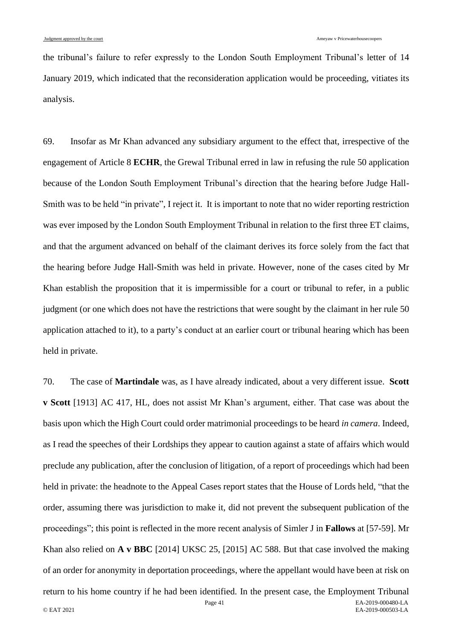the tribunal's failure to refer expressly to the London South Employment Tribunal's letter of 14 January 2019, which indicated that the reconsideration application would be proceeding, vitiates its analysis.

69. Insofar as Mr Khan advanced any subsidiary argument to the effect that, irrespective of the engagement of Article 8 **ECHR**, the Grewal Tribunal erred in law in refusing the rule 50 application because of the London South Employment Tribunal's direction that the hearing before Judge Hall-Smith was to be held "in private", I reject it. It is important to note that no wider reporting restriction was ever imposed by the London South Employment Tribunal in relation to the first three ET claims, and that the argument advanced on behalf of the claimant derives its force solely from the fact that the hearing before Judge Hall-Smith was held in private. However, none of the cases cited by Mr Khan establish the proposition that it is impermissible for a court or tribunal to refer, in a public judgment (or one which does not have the restrictions that were sought by the claimant in her rule 50 application attached to it), to a party's conduct at an earlier court or tribunal hearing which has been held in private.

Page 41 EA-2019-000480-LA © EAT 2021 EA-2019-000503-LA 70. The case of **Martindale** was, as I have already indicated, about a very different issue. **Scott v Scott** [1913] AC 417, HL, does not assist Mr Khan's argument, either. That case was about the basis upon which the High Court could order matrimonial proceedings to be heard *in camera*. Indeed, as I read the speeches of their Lordships they appear to caution against a state of affairs which would preclude any publication, after the conclusion of litigation, of a report of proceedings which had been held in private: the headnote to the Appeal Cases report states that the House of Lords held, "that the order, assuming there was jurisdiction to make it, did not prevent the subsequent publication of the proceedings"; this point is reflected in the more recent analysis of Simler J in **Fallows** at [57-59]. Mr Khan also relied on **A v BBC** [2014] UKSC 25, [2015] AC 588. But that case involved the making of an order for anonymity in deportation proceedings, where the appellant would have been at risk on return to his home country if he had been identified. In the present case, the Employment Tribunal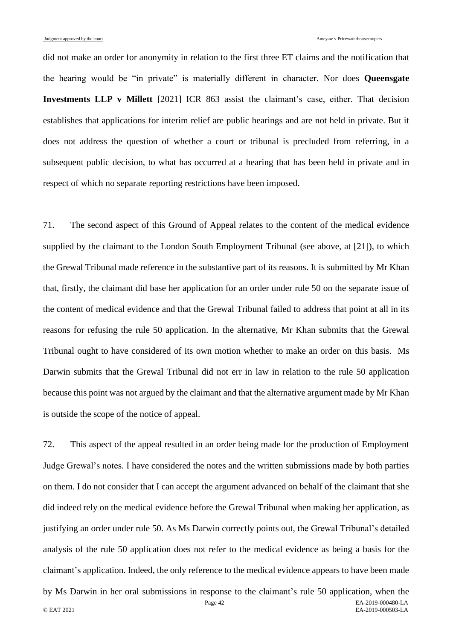did not make an order for anonymity in relation to the first three ET claims and the notification that the hearing would be "in private" is materially different in character. Nor does **Queensgate Investments LLP v Millett** [2021] ICR 863 assist the claimant's case, either. That decision establishes that applications for interim relief are public hearings and are not held in private. But it does not address the question of whether a court or tribunal is precluded from referring, in a subsequent public decision, to what has occurred at a hearing that has been held in private and in respect of which no separate reporting restrictions have been imposed.

<span id="page-41-0"></span>71. The second aspect of this Ground of Appeal relates to the content of the medical evidence supplied by the claimant to the London South Employment Tribunal (see above, at [\[21\]](#page-10-0)), to which the Grewal Tribunal made reference in the substantive part of its reasons. It is submitted by Mr Khan that, firstly, the claimant did base her application for an order under rule 50 on the separate issue of the content of medical evidence and that the Grewal Tribunal failed to address that point at all in its reasons for refusing the rule 50 application. In the alternative, Mr Khan submits that the Grewal Tribunal ought to have considered of its own motion whether to make an order on this basis. Ms Darwin submits that the Grewal Tribunal did not err in law in relation to the rule 50 application because this point was not argued by the claimant and that the alternative argument made by Mr Khan is outside the scope of the notice of appeal.

72. This aspect of the appeal resulted in an order being made for the production of Employment Judge Grewal's notes. I have considered the notes and the written submissions made by both parties on them. I do not consider that I can accept the argument advanced on behalf of the claimant that she did indeed rely on the medical evidence before the Grewal Tribunal when making her application, as justifying an order under rule 50. As Ms Darwin correctly points out, the Grewal Tribunal's detailed analysis of the rule 50 application does not refer to the medical evidence as being a basis for the claimant's application. Indeed, the only reference to the medical evidence appears to have been made

Page 42 EA-2019-000480-LA © EAT 2021 EA-2019-000503-LA by Ms Darwin in her oral submissions in response to the claimant's rule 50 application, when the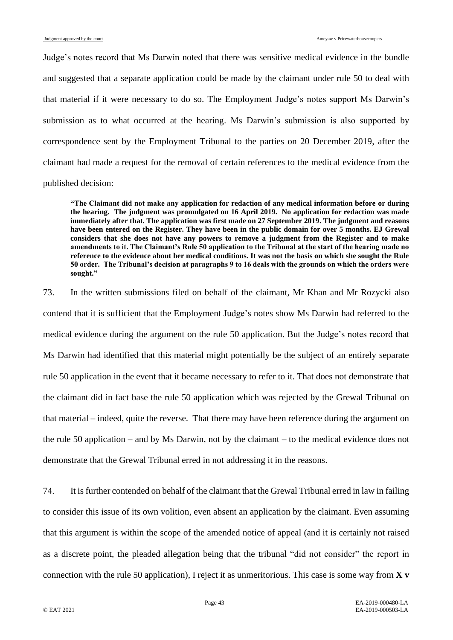Judge's notes record that Ms Darwin noted that there was sensitive medical evidence in the bundle and suggested that a separate application could be made by the claimant under rule 50 to deal with that material if it were necessary to do so. The Employment Judge's notes support Ms Darwin's submission as to what occurred at the hearing. Ms Darwin's submission is also supported by correspondence sent by the Employment Tribunal to the parties on 20 December 2019, after the claimant had made a request for the removal of certain references to the medical evidence from the published decision:

**"The Claimant did not make any application for redaction of any medical information before or during the hearing. The judgment was promulgated on 16 April 2019. No application for redaction was made immediately after that. The application was first made on 27 September 2019. The judgment and reasons have been entered on the Register. They have been in the public domain for over 5 months. EJ Grewal considers that she does not have any powers to remove a judgment from the Register and to make amendments to it. The Claimant's Rule 50 application to the Tribunal at the start of the hearing made no reference to the evidence about her medical conditions. It was not the basis on which she sought the Rule 50 order. The Tribunal's decision at paragraphs 9 to 16 deals with the grounds on which the orders were sought."**

73. In the written submissions filed on behalf of the claimant, Mr Khan and Mr Rozycki also contend that it is sufficient that the Employment Judge's notes show Ms Darwin had referred to the medical evidence during the argument on the rule 50 application. But the Judge's notes record that Ms Darwin had identified that this material might potentially be the subject of an entirely separate rule 50 application in the event that it became necessary to refer to it. That does not demonstrate that the claimant did in fact base the rule 50 application which was rejected by the Grewal Tribunal on that material – indeed, quite the reverse. That there may have been reference during the argument on the rule 50 application – and by Ms Darwin, not by the claimant – to the medical evidence does not demonstrate that the Grewal Tribunal erred in not addressing it in the reasons.

<span id="page-42-0"></span>74. It is further contended on behalf of the claimant that the Grewal Tribunal erred in law in failing to consider this issue of its own volition, even absent an application by the claimant. Even assuming that this argument is within the scope of the amended notice of appeal (and it is certainly not raised as a discrete point, the pleaded allegation being that the tribunal "did not consider" the report in connection with the rule 50 application), I reject it as unmeritorious. This case is some way from **X v**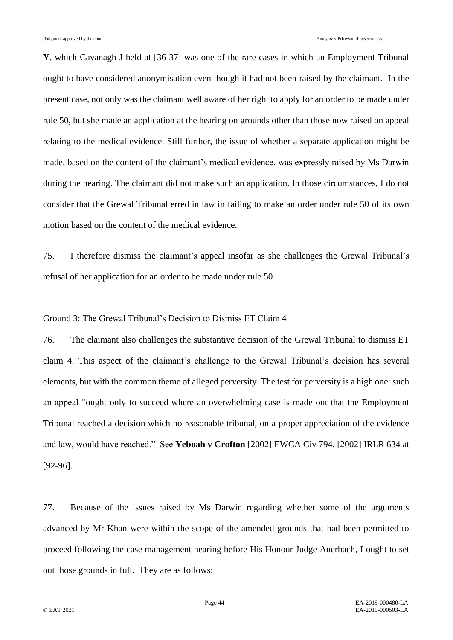**Y**, which Cavanagh J held at [36-37] was one of the rare cases in which an Employment Tribunal ought to have considered anonymisation even though it had not been raised by the claimant. In the present case, not only was the claimant well aware of her right to apply for an order to be made under rule 50, but she made an application at the hearing on grounds other than those now raised on appeal relating to the medical evidence. Still further, the issue of whether a separate application might be made, based on the content of the claimant's medical evidence, was expressly raised by Ms Darwin during the hearing. The claimant did not make such an application. In those circumstances, I do not consider that the Grewal Tribunal erred in law in failing to make an order under rule 50 of its own motion based on the content of the medical evidence.

75. I therefore dismiss the claimant's appeal insofar as she challenges the Grewal Tribunal's refusal of her application for an order to be made under rule 50.

# Ground 3: The Grewal Tribunal's Decision to Dismiss ET Claim 4

76. The claimant also challenges the substantive decision of the Grewal Tribunal to dismiss ET claim 4. This aspect of the claimant's challenge to the Grewal Tribunal's decision has several elements, but with the common theme of alleged perversity. The test for perversity is a high one: such an appeal "ought only to succeed where an overwhelming case is made out that the Employment Tribunal reached a decision which no reasonable tribunal, on a proper appreciation of the evidence and law, would have reached." See **Yeboah v Crofton** [2002] EWCA Civ 794, [2002] IRLR 634 at [92-96].

<span id="page-43-0"></span>77. Because of the issues raised by Ms Darwin regarding whether some of the arguments advanced by Mr Khan were within the scope of the amended grounds that had been permitted to proceed following the case management hearing before His Honour Judge Auerbach, I ought to set out those grounds in full. They are as follows: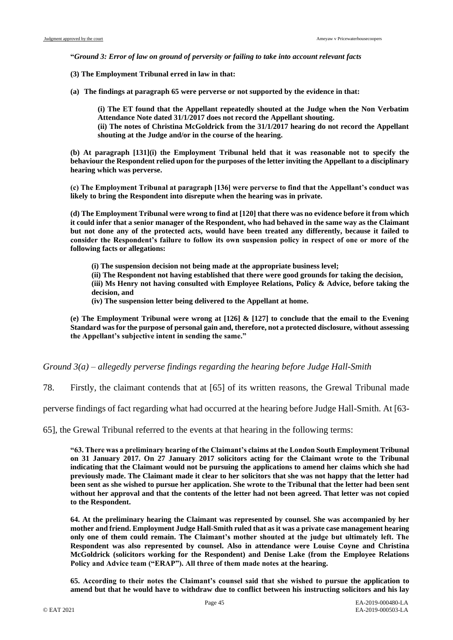**"***Ground 3: Error of law on ground of perversity or failing to take into account relevant facts*

**(3) The Employment Tribunal erred in law in that:**

**(a) The findings at paragraph 65 were perverse or not supported by the evidence in that:**

**shouting at the Judge and/or in the course of the hearing.**

**(i) The ET found that the Appellant repeatedly shouted at the Judge when the Non Verbatim Attendance Note dated 31/1/2017 does not record the Appellant shouting. (ii) The notes of Christina McGoldrick from the 31/1/2017 hearing do not record the Appellant** 

**(b) At paragraph [131](i) the Employment Tribunal held that it was reasonable not to specify the behaviour the Respondent relied upon for the purposes of the letter inviting the Appellant to a disciplinary hearing which was perverse.**

**(c) The Employment Tribunal at paragraph [136] were perverse to find that the Appellant's conduct was likely to bring the Respondent into disrepute when the hearing was in private.**

**(d) The Employment Tribunal were wrong to find at [120] that there was no evidence before it from which it could infer that a senior manager of the Respondent, who had behaved in the same way as the Claimant but not done any of the protected acts, would have been treated any differently, because it failed to consider the Respondent's failure to follow its own suspension policy in respect of one or more of the following facts or allegations:**

**(i) The suspension decision not being made at the appropriate business level;**

**(ii) The Respondent not having established that there were good grounds for taking the decision, (iii) Ms Henry not having consulted with Employee Relations, Policy & Advice, before taking the decision, and**

**(iv) The suspension letter being delivered to the Appellant at home.**

**(e) The Employment Tribunal were wrong at [126] & [127] to conclude that the email to the Evening Standard was for the purpose of personal gain and, therefore, not a protected disclosure, without assessing the Appellant's subjective intent in sending the same."**

*Ground 3(a) – allegedly perverse findings regarding the hearing before Judge Hall-Smith*

78. Firstly, the claimant contends that at [65] of its written reasons, the Grewal Tribunal made

perverse findings of fact regarding what had occurred at the hearing before Judge Hall-Smith. At [63-

65], the Grewal Tribunal referred to the events at that hearing in the following terms:

**"63. There was a preliminary hearing of the Claimant's claims at the London South Employment Tribunal on 31 January 2017. On 27 January 2017 solicitors acting for the Claimant wrote to the Tribunal indicating that the Claimant would not be pursuing the applications to amend her claims which she had previously made. The Claimant made it clear to her solicitors that she was not happy that the letter had been sent as she wished to pursue her application. She wrote to the Tribunal that the letter had been sent without her approval and that the contents of the letter had not been agreed. That letter was not copied to the Respondent.**

**64. At the preliminary hearing the Claimant was represented by counsel. She was accompanied by her mother and friend. Employment Judge Hall-Smith ruled that as it was a private case management hearing only one of them could remain. The Claimant's mother shouted at the judge but ultimately left. The Respondent was also represented by counsel. Also in attendance were Louise Coyne and Christina McGoldrick (solicitors working for the Respondent) and Denise Lake (from the Employee Relations Policy and Advice team ("ERAP"). All three of them made notes at the hearing.**

**65. According to their notes the Claimant's counsel said that she wished to pursue the application to amend but that he would have to withdraw due to conflict between his instructing solicitors and his lay**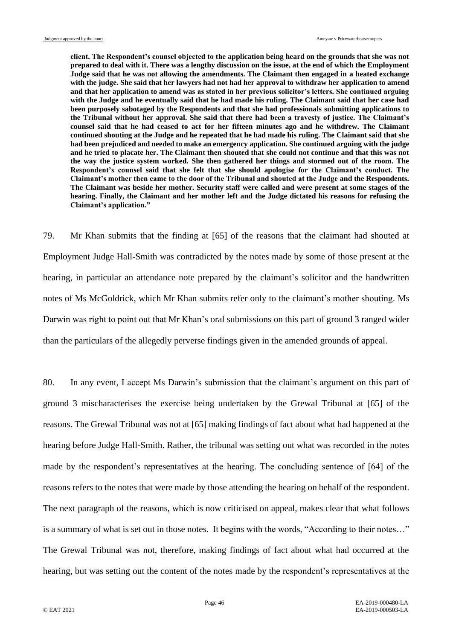**client. The Respondent's counsel objected to the application being heard on the grounds that she was not prepared to deal with it. There was a lengthy discussion on the issue, at the end of which the Employment Judge said that he was not allowing the amendments. The Claimant then engaged in a heated exchange with the judge. She said that her lawyers had not had her approval to withdraw her application to amend and that her application to amend was as stated in her previous solicitor's letters. She continued arguing with the Judge and he eventually said that he had made his ruling. The Claimant said that her case had been purposely sabotaged by the Respondents and that she had professionals submitting applications to the Tribunal without her approval. She said that there had been a travesty of justice. The Claimant's counsel said that he had ceased to act for her fifteen minutes ago and he withdrew. The Claimant continued shouting at the Judge and he repeated that he had made his ruling. The Claimant said that she had been prejudiced and needed to make an emergency application. She continued arguing with the judge and he tried to placate her. The Claimant then shouted that she could not continue and that this was not the way the justice system worked. She then gathered her things and stormed out of the room. The Respondent's counsel said that she felt that she should apologise for the Claimant's conduct. The Claimant's mother then came to the door of the Tribunal and shouted at the Judge and the Respondents. The Claimant was beside her mother. Security staff were called and were present at some stages of the hearing. Finally, the Claimant and her mother left and the Judge dictated his reasons for refusing the Claimant's application."**

79. Mr Khan submits that the finding at [65] of the reasons that the claimant had shouted at Employment Judge Hall-Smith was contradicted by the notes made by some of those present at the hearing, in particular an attendance note prepared by the claimant's solicitor and the handwritten notes of Ms McGoldrick, which Mr Khan submits refer only to the claimant's mother shouting. Ms Darwin was right to point out that Mr Khan's oral submissions on this part of ground 3 ranged wider than the particulars of the allegedly perverse findings given in the amended grounds of appeal.

80. In any event, I accept Ms Darwin's submission that the claimant's argument on this part of ground 3 mischaracterises the exercise being undertaken by the Grewal Tribunal at [65] of the reasons. The Grewal Tribunal was not at [65] making findings of fact about what had happened at the hearing before Judge Hall-Smith. Rather, the tribunal was setting out what was recorded in the notes made by the respondent's representatives at the hearing. The concluding sentence of [64] of the reasons refers to the notes that were made by those attending the hearing on behalf of the respondent. The next paragraph of the reasons, which is now criticised on appeal, makes clear that what follows is a summary of what is set out in those notes. It begins with the words, "According to their notes…" The Grewal Tribunal was not, therefore, making findings of fact about what had occurred at the hearing, but was setting out the content of the notes made by the respondent's representatives at the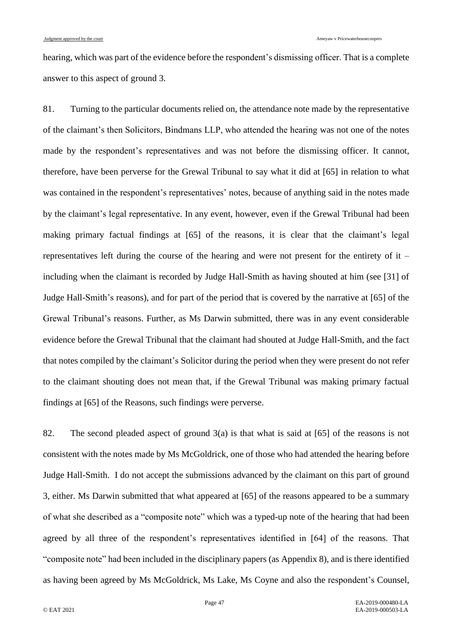hearing, which was part of the evidence before the respondent's dismissing officer. That is a complete answer to this aspect of ground 3.

81. Turning to the particular documents relied on, the attendance note made by the representative of the claimant's then Solicitors, Bindmans LLP, who attended the hearing was not one of the notes made by the respondent's representatives and was not before the dismissing officer. It cannot, therefore, have been perverse for the Grewal Tribunal to say what it did at [65] in relation to what was contained in the respondent's representatives' notes, because of anything said in the notes made by the claimant's legal representative. In any event, however, even if the Grewal Tribunal had been making primary factual findings at [65] of the reasons, it is clear that the claimant's legal representatives left during the course of the hearing and were not present for the entirety of it – including when the claimant is recorded by Judge Hall-Smith as having shouted at him (see [31] of Judge Hall-Smith's reasons), and for part of the period that is covered by the narrative at [65] of the Grewal Tribunal's reasons. Further, as Ms Darwin submitted, there was in any event considerable evidence before the Grewal Tribunal that the claimant had shouted at Judge Hall-Smith, and the fact that notes compiled by the claimant's Solicitor during the period when they were present do not refer to the claimant shouting does not mean that, if the Grewal Tribunal was making primary factual findings at [65] of the Reasons, such findings were perverse.

82. The second pleaded aspect of ground 3(a) is that what is said at [65] of the reasons is not consistent with the notes made by Ms McGoldrick, one of those who had attended the hearing before Judge Hall-Smith. I do not accept the submissions advanced by the claimant on this part of ground 3, either. Ms Darwin submitted that what appeared at [65] of the reasons appeared to be a summary of what she described as a "composite note" which was a typed-up note of the hearing that had been agreed by all three of the respondent's representatives identified in [64] of the reasons. That "composite note" had been included in the disciplinary papers (as Appendix 8), and is there identified as having been agreed by Ms McGoldrick, Ms Lake, Ms Coyne and also the respondent's Counsel,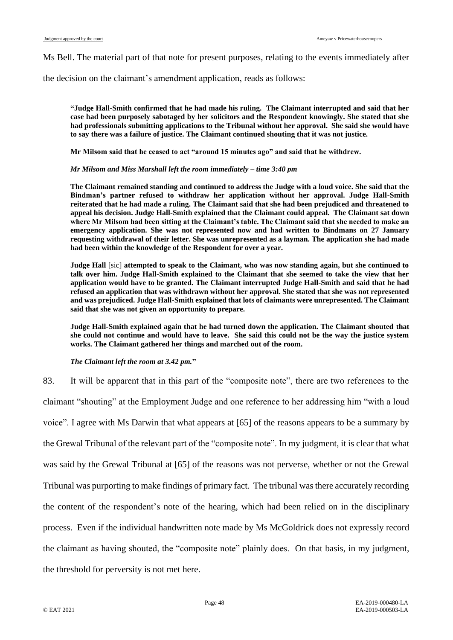Ms Bell. The material part of that note for present purposes, relating to the events immediately after

the decision on the claimant's amendment application, reads as follows:

**"Judge Hall-Smith confirmed that he had made his ruling. The Claimant interrupted and said that her case had been purposely sabotaged by her solicitors and the Respondent knowingly. She stated that she had professionals submitting applications to the Tribunal without her approval. She said she would have to say there was a failure of justice. The Claimant continued shouting that it was not justice.**

**Mr Milsom said that he ceased to act "around 15 minutes ago" and said that he withdrew.**

#### *Mr Milsom and Miss Marshall left the room immediately – time 3:40 pm*

**The Claimant remained standing and continued to address the Judge with a loud voice. She said that the Bindman's partner refused to withdraw her application without her approval. Judge Hall-Smith reiterated that he had made a ruling. The Claimant said that she had been prejudiced and threatened to appeal his decision. Judge Hall-Smith explained that the Claimant could appeal. The Claimant sat down where Mr Milsom had been sitting at the Claimant's table. The Claimant said that she needed to make an emergency application. She was not represented now and had written to Bindmans on 27 January requesting withdrawal of their letter. She was unrepresented as a layman. The application she had made had been within the knowledge of the Respondent for over a year.**

**Judge Hall** [sic] **attempted to speak to the Claimant, who was now standing again, but she continued to talk over him. Judge Hall-Smith explained to the Claimant that she seemed to take the view that her application would have to be granted. The Claimant interrupted Judge Hall-Smith and said that he had refused an application that was withdrawn without her approval. She stated that she was not represented and was prejudiced. Judge Hall-Smith explained that lots of claimants were unrepresented. The Claimant said that she was not given an opportunity to prepare.**

**Judge Hall-Smith explained again that he had turned down the application. The Claimant shouted that she could not continue and would have to leave. She said this could not be the way the justice system works. The Claimant gathered her things and marched out of the room.**

#### *The Claimant left the room at 3.42 pm.***"**

83. It will be apparent that in this part of the "composite note", there are two references to the claimant "shouting" at the Employment Judge and one reference to her addressing him "with a loud voice". I agree with Ms Darwin that what appears at [65] of the reasons appears to be a summary by the Grewal Tribunal of the relevant part of the "composite note". In my judgment, it is clear that what was said by the Grewal Tribunal at [65] of the reasons was not perverse, whether or not the Grewal Tribunal was purporting to make findings of primary fact. The tribunal was there accurately recording the content of the respondent's note of the hearing, which had been relied on in the disciplinary process. Even if the individual handwritten note made by Ms McGoldrick does not expressly record the claimant as having shouted, the "composite note" plainly does. On that basis, in my judgment, the threshold for perversity is not met here.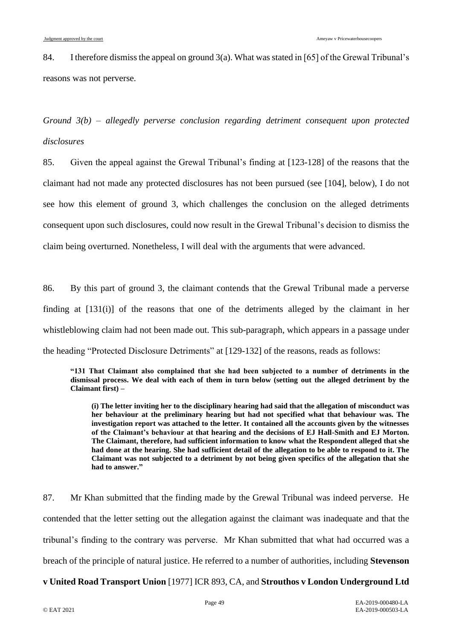84. I therefore dismiss the appeal on ground 3(a). What was stated in [65] of the Grewal Tribunal's reasons was not perverse.

*Ground 3(b) – allegedly perverse conclusion regarding detriment consequent upon protected disclosures*

85. Given the appeal against the Grewal Tribunal's finding at [123-128] of the reasons that the claimant had not made any protected disclosures has not been pursued (see [\[104\]](#page-57-0), below), I do not see how this element of ground 3, which challenges the conclusion on the alleged detriments consequent upon such disclosures, could now result in the Grewal Tribunal's decision to dismiss the claim being overturned. Nonetheless, I will deal with the arguments that were advanced.

86. By this part of ground 3, the claimant contends that the Grewal Tribunal made a perverse finding at [131(i)] of the reasons that one of the detriments alleged by the claimant in her whistleblowing claim had not been made out. This sub-paragraph, which appears in a passage under the heading "Protected Disclosure Detriments" at [129-132] of the reasons, reads as follows:

**"131 That Claimant also complained that she had been subjected to a number of detriments in the dismissal process. We deal with each of them in turn below (setting out the alleged detriment by the Claimant first) –**

**(i) The letter inviting her to the disciplinary hearing had said that the allegation of misconduct was her behaviour at the preliminary hearing but had not specified what that behaviour was. The investigation report was attached to the letter. It contained all the accounts given by the witnesses of the Claimant's behaviour at that hearing and the decisions of EJ Hall-Smith and EJ Morton. The Claimant, therefore, had sufficient information to know what the Respondent alleged that she had done at the hearing. She had sufficient detail of the allegation to be able to respond to it. The Claimant was not subjected to a detriment by not being given specifics of the allegation that she had to answer."**

87. Mr Khan submitted that the finding made by the Grewal Tribunal was indeed perverse. He contended that the letter setting out the allegation against the claimant was inadequate and that the tribunal's finding to the contrary was perverse. Mr Khan submitted that what had occurred was a breach of the principle of natural justice. He referred to a number of authorities, including **Stevenson** 

**v United Road Transport Union** [1977] ICR 893, CA, and **Strouthos v London Underground Ltd**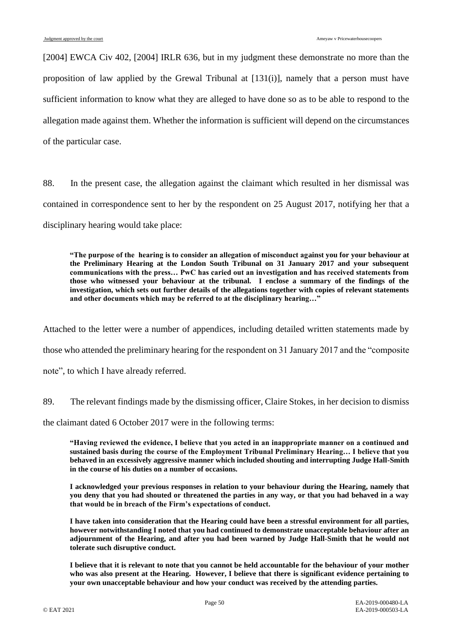[2004] EWCA Civ 402, [2004] IRLR 636, but in my judgment these demonstrate no more than the proposition of law applied by the Grewal Tribunal at [131(i)], namely that a person must have sufficient information to know what they are alleged to have done so as to be able to respond to the allegation made against them. Whether the information is sufficient will depend on the circumstances of the particular case.

88. In the present case, the allegation against the claimant which resulted in her dismissal was contained in correspondence sent to her by the respondent on 25 August 2017, notifying her that a disciplinary hearing would take place:

**"The purpose of the hearing is to consider an allegation of misconduct against you for your behaviour at the Preliminary Hearing at the London South Tribunal on 31 January 2017 and your subsequent communications with the press… PwC has caried out an investigation and has received statements from those who witnessed your behaviour at the tribunal. I enclose a summary of the findings of the investigation, which sets out further details of the allegations together with copies of relevant statements and other documents which may be referred to at the disciplinary hearing…"**

Attached to the letter were a number of appendices, including detailed written statements made by those who attended the preliminary hearing for the respondent on 31 January 2017 and the "composite note", to which I have already referred.

89. The relevant findings made by the dismissing officer, Claire Stokes, in her decision to dismiss

the claimant dated 6 October 2017 were in the following terms:

**"Having reviewed the evidence, I believe that you acted in an inappropriate manner on a continued and sustained basis during the course of the Employment Tribunal Preliminary Hearing… I believe that you behaved in an excessively aggressive manner which included shouting and interrupting Judge Hall-Smith in the course of his duties on a number of occasions.**

**I acknowledged your previous responses in relation to your behaviour during the Hearing, namely that you deny that you had shouted or threatened the parties in any way, or that you had behaved in a way that would be in breach of the Firm's expectations of conduct.**

**I have taken into consideration that the Hearing could have been a stressful environment for all parties, however notwithstanding I noted that you had continued to demonstrate unacceptable behaviour after an adjournment of the Hearing, and after you had been warned by Judge Hall-Smith that he would not tolerate such disruptive conduct.**

**I believe that it is relevant to note that you cannot be held accountable for the behaviour of your mother who was also present at the Hearing. However, I believe that there is significant evidence pertaining to your own unacceptable behaviour and how your conduct was received by the attending parties.**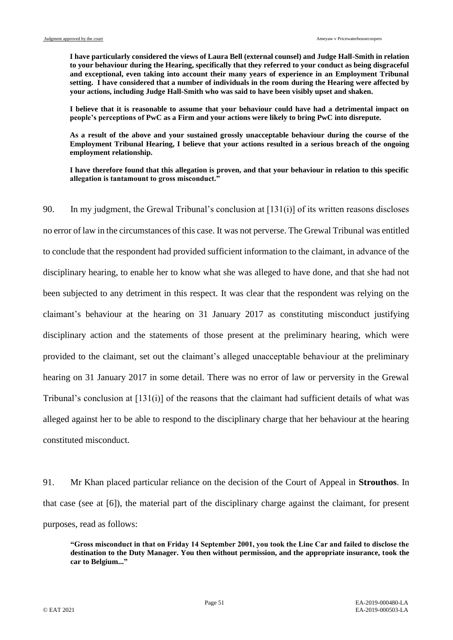**I have particularly considered the views of Laura Bell (external counsel) and Judge Hall-Smith in relation to your behaviour during the Hearing, specifically that they referred to your conduct as being disgraceful and exceptional, even taking into account their many years of experience in an Employment Tribunal setting. I have considered that a number of individuals in the room during the Hearing were affected by your actions, including Judge Hall-Smith who was said to have been visibly upset and shaken.**

**I believe that it is reasonable to assume that your behaviour could have had a detrimental impact on people's perceptions of PwC as a Firm and your actions were likely to bring PwC into disrepute.**

**As a result of the above and your sustained grossly unacceptable behaviour during the course of the Employment Tribunal Hearing, I believe that your actions resulted in a serious breach of the ongoing employment relationship.**

**I have therefore found that this allegation is proven, and that your behaviour in relation to this specific allegation is tantamount to gross misconduct."**

90. In my judgment, the Grewal Tribunal's conclusion at [131(i)] of its written reasons discloses no error of law in the circumstances of this case. It was not perverse. The Grewal Tribunal was entitled to conclude that the respondent had provided sufficient information to the claimant, in advance of the disciplinary hearing, to enable her to know what she was alleged to have done, and that she had not been subjected to any detriment in this respect. It was clear that the respondent was relying on the claimant's behaviour at the hearing on 31 January 2017 as constituting misconduct justifying disciplinary action and the statements of those present at the preliminary hearing, which were provided to the claimant, set out the claimant's alleged unacceptable behaviour at the preliminary hearing on 31 January 2017 in some detail. There was no error of law or perversity in the Grewal Tribunal's conclusion at [131(i)] of the reasons that the claimant had sufficient details of what was alleged against her to be able to respond to the disciplinary charge that her behaviour at the hearing constituted misconduct.

91. Mr Khan placed particular reliance on the decision of the Court of Appeal in **Strouthos**. In that case (see at [6]), the material part of the disciplinary charge against the claimant, for present purposes, read as follows:

**"Gross misconduct in that on Friday 14 September 2001, you took the Line Car and failed to disclose the destination to the Duty Manager. You then without permission, and the appropriate insurance, took the car to Belgium..."**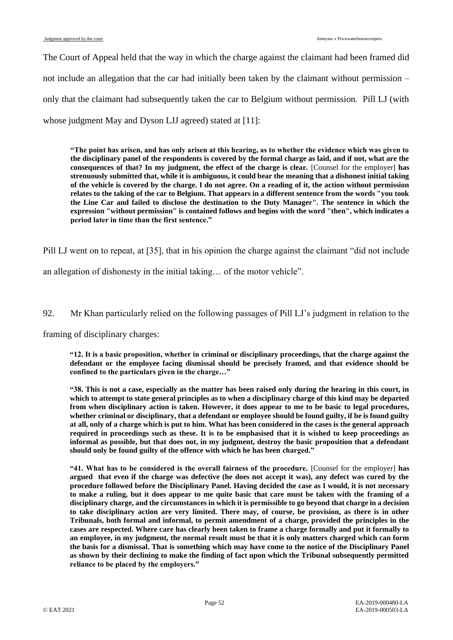The Court of Appeal held that the way in which the charge against the claimant had been framed did not include an allegation that the car had initially been taken by the claimant without permission – only that the claimant had subsequently taken the car to Belgium without permission. Pill LJ (with whose judgment May and Dyson LJJ agreed) stated at [11]:

**"The point has arisen, and has only arisen at this hearing, as to whether the evidence which was given to the disciplinary panel of the respondents is covered by the formal charge as laid, and if not, what are the consequences of that? In my judgment, the effect of the charge is clear.** [Counsel for the employer] **has strenuously submitted that, while it is ambiguous, it could bear the meaning that a dishonest initial taking of the vehicle is covered by the charge. I do not agree. On a reading of it, the action without permission relates to the taking of the car to Belgium. That appears in a different sentence from the words "you took the Line Car and failed to disclose the destination to the Duty Manager". The sentence in which the expression "without permission" is contained follows and begins with the word "then", which indicates a period later in time than the first sentence."**

Pill LJ went on to repeat, at [35], that in his opinion the charge against the claimant "did not include

an allegation of dishonesty in the initial taking… of the motor vehicle".

# 92. Mr Khan particularly relied on the following passages of Pill LJ's judgment in relation to the

framing of disciplinary charges:

**"12. It is a basic proposition, whether in criminal or disciplinary proceedings, that the charge against the defendant or the employee facing dismissal should be precisely framed, and that evidence should be confined to the particulars given in the charge…"**

**"38. This is not a case, especially as the matter has been raised only during the hearing in this court, in which to attempt to state general principles as to when a disciplinary charge of this kind may be departed from when disciplinary action is taken. However, it does appear to me to be basic to legal procedures, whether criminal or disciplinary, that a defendant or employee should be found guilty, if he is found guilty at all, only of a charge which is put to him. What has been considered in the cases is the general approach required in proceedings such as these. It is to be emphasised that it is wished to keep proceedings as informal as possible, but that does not, in my judgment, destroy the basic proposition that a defendant should only be found guilty of the offence with which he has been charged."**

**"41. What has to be considered is the overall fairness of the procedure.** [Counsel for the employer] **has argued that even if the charge was defective (he does not accept it was), any defect was cured by the procedure followed before the Disciplinary Panel. Having decided the case as I would, it is not necessary to make a ruling, but it does appear to me quite basic that care must be taken with the framing of a disciplinary charge, and the circumstances in which it is permissible to go beyond that charge in a decision to take disciplinary action are very limited. There may, of course, be provision, as there is in other Tribunals, both formal and informal, to permit amendment of a charge, provided the principles in the cases are respected. Where care has clearly been taken to frame a charge formally and put it formally to an employee, in my judgment, the normal result must be that it is only matters charged which can form the basis for a dismissal. That is something which may have come to the notice of the Disciplinary Panel as shown by their declining to make the finding of fact upon which the Tribunal subsequently permitted reliance to be placed by the employers."**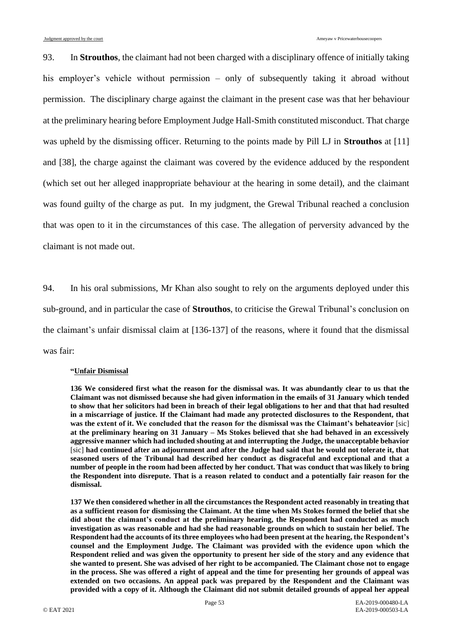93. In **Strouthos**, the claimant had not been charged with a disciplinary offence of initially taking his employer's vehicle without permission – only of subsequently taking it abroad without permission. The disciplinary charge against the claimant in the present case was that her behaviour at the preliminary hearing before Employment Judge Hall-Smith constituted misconduct. That charge was upheld by the dismissing officer. Returning to the points made by Pill LJ in **Strouthos** at [11] and [38], the charge against the claimant was covered by the evidence adduced by the respondent (which set out her alleged inappropriate behaviour at the hearing in some detail), and the claimant was found guilty of the charge as put. In my judgment, the Grewal Tribunal reached a conclusion that was open to it in the circumstances of this case. The allegation of perversity advanced by the claimant is not made out.

94. In his oral submissions, Mr Khan also sought to rely on the arguments deployed under this sub-ground, and in particular the case of **Strouthos**, to criticise the Grewal Tribunal's conclusion on the claimant's unfair dismissal claim at [136-137] of the reasons, where it found that the dismissal was fair:

#### **"Unfair Dismissal**

**136 We considered first what the reason for the dismissal was. It was abundantly clear to us that the Claimant was not dismissed because she had given information in the emails of 31 January which tended to show that her solicitors had been in breach of their legal obligations to her and that that had resulted in a miscarriage of justice. If the Claimant had made any protected disclosures to the Respondent, that was the extent of it. We concluded that the reason for the dismissal was the Claimant's behateavior** [sic] **at the preliminary hearing on 31 January – Ms Stokes believed that she had behaved in an excessively aggressive manner which had included shouting at and interrupting the Judge, the unacceptable behavior** [sic] **had continued after an adjournment and after the Judge had said that he would not tolerate it, that seasoned users of the Tribunal had described her conduct as disgraceful and exceptional and that a number of people in the room had been affected by her conduct. That was conduct that was likely to bring the Respondent into disrepute. That is a reason related to conduct and a potentially fair reason for the dismissal.**

**137 We then considered whether in all the circumstances the Respondent acted reasonably in treating that as a sufficient reason for dismissing the Claimant. At the time when Ms Stokes formed the belief that she did about the claimant's conduct at the preliminary hearing, the Respondent had conducted as much investigation as was reasonable and had she had reasonable grounds on which to sustain her belief. The Respondent had the accounts of its three employees who had been present at the hearing, the Respondent's counsel and the Employment Judge. The Claimant was provided with the evidence upon which the Respondent relied and was given the opportunity to present her side of the story and any evidence that she wanted to present. She was advised of her right to be accompanied. The Claimant chose not to engage in the process. She was offered a right of appeal and the time for presenting her grounds of appeal was extended on two occasions. An appeal pack was prepared by the Respondent and the Claimant was provided with a copy of it. Although the Claimant did not submit detailed grounds of appeal her appeal**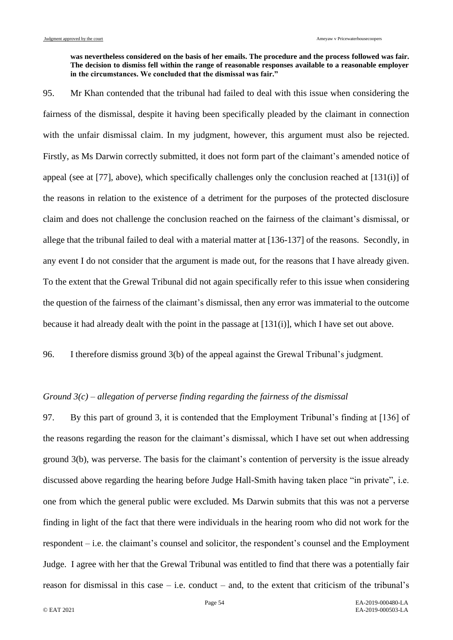#### **was nevertheless considered on the basis of her emails. The procedure and the process followed was fair. The decision to dismiss fell within the range of reasonable responses available to a reasonable employer in the circumstances. We concluded that the dismissal was fair."**

95. Mr Khan contended that the tribunal had failed to deal with this issue when considering the fairness of the dismissal, despite it having been specifically pleaded by the claimant in connection with the unfair dismissal claim. In my judgment, however, this argument must also be rejected. Firstly, as Ms Darwin correctly submitted, it does not form part of the claimant's amended notice of appeal (see at [\[77\]](#page-43-0), above), which specifically challenges only the conclusion reached at [131(i)] of the reasons in relation to the existence of a detriment for the purposes of the protected disclosure claim and does not challenge the conclusion reached on the fairness of the claimant's dismissal, or allege that the tribunal failed to deal with a material matter at [136-137] of the reasons. Secondly, in any event I do not consider that the argument is made out, for the reasons that I have already given. To the extent that the Grewal Tribunal did not again specifically refer to this issue when considering the question of the fairness of the claimant's dismissal, then any error was immaterial to the outcome because it had already dealt with the point in the passage at [131(i)], which I have set out above.

96. I therefore dismiss ground 3(b) of the appeal against the Grewal Tribunal's judgment.

# *Ground 3(c) – allegation of perverse finding regarding the fairness of the dismissal*

97. By this part of ground 3, it is contended that the Employment Tribunal's finding at [136] of the reasons regarding the reason for the claimant's dismissal, which I have set out when addressing ground 3(b), was perverse. The basis for the claimant's contention of perversity is the issue already discussed above regarding the hearing before Judge Hall-Smith having taken place "in private", i.e. one from which the general public were excluded. Ms Darwin submits that this was not a perverse finding in light of the fact that there were individuals in the hearing room who did not work for the respondent – i.e. the claimant's counsel and solicitor, the respondent's counsel and the Employment Judge. I agree with her that the Grewal Tribunal was entitled to find that there was a potentially fair reason for dismissal in this case – i.e. conduct – and, to the extent that criticism of the tribunal's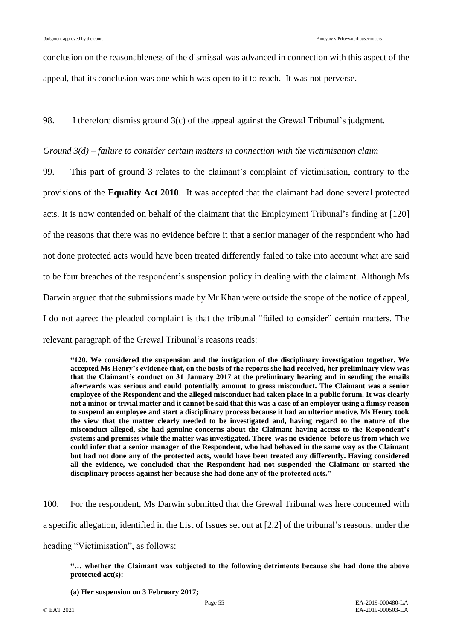conclusion on the reasonableness of the dismissal was advanced in connection with this aspect of the appeal, that its conclusion was one which was open to it to reach. It was not perverse.

98. I therefore dismiss ground 3(c) of the appeal against the Grewal Tribunal's judgment.

# *Ground 3(d) – failure to consider certain matters in connection with the victimisation claim*

99. This part of ground 3 relates to the claimant's complaint of victimisation, contrary to the provisions of the **Equality Act 2010**. It was accepted that the claimant had done several protected acts. It is now contended on behalf of the claimant that the Employment Tribunal's finding at [120] of the reasons that there was no evidence before it that a senior manager of the respondent who had not done protected acts would have been treated differently failed to take into account what are said to be four breaches of the respondent's suspension policy in dealing with the claimant. Although Ms Darwin argued that the submissions made by Mr Khan were outside the scope of the notice of appeal, I do not agree: the pleaded complaint is that the tribunal "failed to consider" certain matters. The relevant paragraph of the Grewal Tribunal's reasons reads:

**"120. We considered the suspension and the instigation of the disciplinary investigation together. We accepted Ms Henry's evidence that, on the basis of the reports she had received, her preliminary view was that the Claimant's conduct on 31 January 2017 at the preliminary hearing and in sending the emails afterwards was serious and could potentially amount to gross misconduct. The Claimant was a senior employee of the Respondent and the alleged misconduct had taken place in a public forum. It was clearly not a minor or trivial matter and it cannot be said that this was a case of an employer using a flimsy reason to suspend an employee and start a disciplinary process because it had an ulterior motive. Ms Henry took the view that the matter clearly needed to be investigated and, having regard to the nature of the misconduct alleged, she had genuine concerns about the Claimant having access to the Respondent's systems and premises while the matter was investigated. There was no evidence before us from which we could infer that a senior manager of the Respondent, who had behaved in the same way as the Claimant but had not done any of the protected acts, would have been treated any differently. Having considered all the evidence, we concluded that the Respondent had not suspended the Claimant or started the disciplinary process against her because she had done any of the protected acts."**

100. For the respondent, Ms Darwin submitted that the Grewal Tribunal was here concerned with a specific allegation, identified in the List of Issues set out at [2.2] of the tribunal's reasons, under the heading "Victimisation", as follows:

**"… whether the Claimant was subjected to the following detriments because she had done the above protected act(s):**

**(a) Her suspension on 3 February 2017;**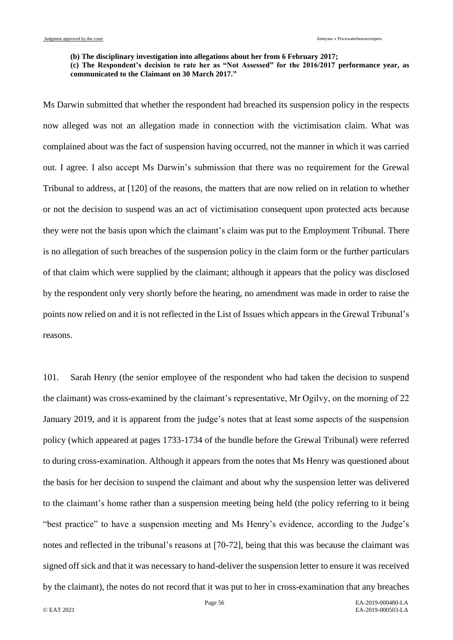**(b) The disciplinary investigation into allegations about her from 6 February 2017;**

**(c) The Respondent's decision to rate her as "Not Assessed" for the 2016/2017 performance year, as communicated to the Claimant on 30 March 2017."**

Ms Darwin submitted that whether the respondent had breached its suspension policy in the respects now alleged was not an allegation made in connection with the victimisation claim. What was complained about was the fact of suspension having occurred, not the manner in which it was carried out. I agree. I also accept Ms Darwin's submission that there was no requirement for the Grewal Tribunal to address, at [120] of the reasons, the matters that are now relied on in relation to whether or not the decision to suspend was an act of victimisation consequent upon protected acts because they were not the basis upon which the claimant's claim was put to the Employment Tribunal. There is no allegation of such breaches of the suspension policy in the claim form or the further particulars of that claim which were supplied by the claimant; although it appears that the policy was disclosed by the respondent only very shortly before the hearing, no amendment was made in order to raise the points now relied on and it is not reflected in the List of Issues which appears in the Grewal Tribunal's reasons.

101. Sarah Henry (the senior employee of the respondent who had taken the decision to suspend the claimant) was cross-examined by the claimant's representative, Mr Ogilvy, on the morning of 22 January 2019, and it is apparent from the judge's notes that at least some aspects of the suspension policy (which appeared at pages 1733-1734 of the bundle before the Grewal Tribunal) were referred to during cross-examination. Although it appears from the notes that Ms Henry was questioned about the basis for her decision to suspend the claimant and about why the suspension letter was delivered to the claimant's home rather than a suspension meeting being held (the policy referring to it being "best practice" to have a suspension meeting and Ms Henry's evidence, according to the Judge's notes and reflected in the tribunal's reasons at [70-72], being that this was because the claimant was signed off sick and that it was necessary to hand-deliver the suspension letter to ensure it was received by the claimant), the notes do not record that it was put to her in cross-examination that any breaches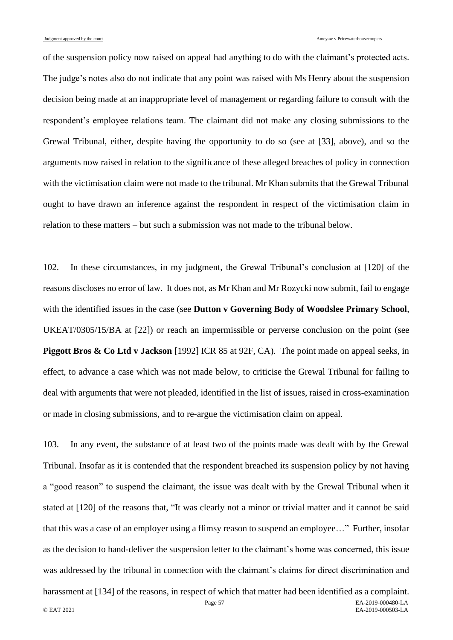of the suspension policy now raised on appeal had anything to do with the claimant's protected acts. The judge's notes also do not indicate that any point was raised with Ms Henry about the suspension decision being made at an inappropriate level of management or regarding failure to consult with the respondent's employee relations team. The claimant did not make any closing submissions to the Grewal Tribunal, either, despite having the opportunity to do so (see at [\[33\]](#page-15-0), above), and so the arguments now raised in relation to the significance of these alleged breaches of policy in connection with the victimisation claim were not made to the tribunal. Mr Khan submits that the Grewal Tribunal ought to have drawn an inference against the respondent in respect of the victimisation claim in relation to these matters – but such a submission was not made to the tribunal below.

102. In these circumstances, in my judgment, the Grewal Tribunal's conclusion at [120] of the reasons discloses no error of law. It does not, as Mr Khan and Mr Rozycki now submit, fail to engage with the identified issues in the case (see **Dutton v Governing Body of Woodslee Primary School**, UKEAT/0305/15/BA at [22]) or reach an impermissible or perverse conclusion on the point (see **Piggott Bros & Co Ltd v Jackson** [1992] ICR 85 at 92F, CA). The point made on appeal seeks, in effect, to advance a case which was not made below, to criticise the Grewal Tribunal for failing to deal with arguments that were not pleaded, identified in the list of issues, raised in cross-examination or made in closing submissions, and to re-argue the victimisation claim on appeal.

103. In any event, the substance of at least two of the points made was dealt with by the Grewal Tribunal. Insofar as it is contended that the respondent breached its suspension policy by not having a "good reason" to suspend the claimant, the issue was dealt with by the Grewal Tribunal when it stated at [120] of the reasons that, "It was clearly not a minor or trivial matter and it cannot be said that this was a case of an employer using a flimsy reason to suspend an employee…" Further, insofar as the decision to hand-deliver the suspension letter to the claimant's home was concerned, this issue was addressed by the tribunal in connection with the claimant's claims for direct discrimination and

Page 57 EA-2019-000480-LA © EAT 2021 EA-2019-000503-LA harassment at [134] of the reasons, in respect of which that matter had been identified as a complaint.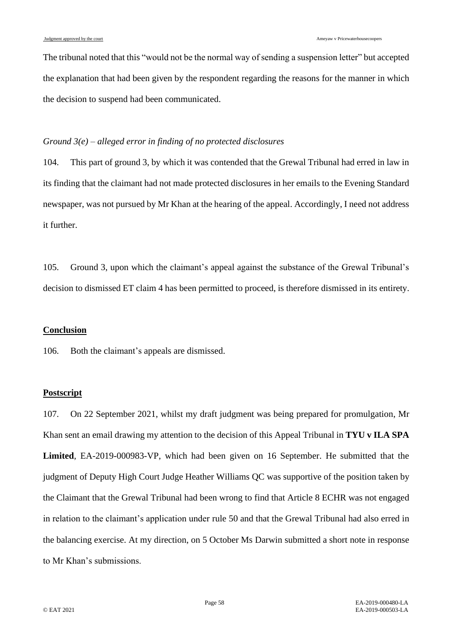The tribunal noted that this "would not be the normal way of sending a suspension letter" but accepted the explanation that had been given by the respondent regarding the reasons for the manner in which the decision to suspend had been communicated.

# *Ground 3(e) – alleged error in finding of no protected disclosures*

<span id="page-57-0"></span>104. This part of ground 3, by which it was contended that the Grewal Tribunal had erred in law in its finding that the claimant had not made protected disclosures in her emails to the Evening Standard newspaper, was not pursued by Mr Khan at the hearing of the appeal. Accordingly, I need not address it further.

105. Ground 3, upon which the claimant's appeal against the substance of the Grewal Tribunal's decision to dismissed ET claim 4 has been permitted to proceed, is therefore dismissed in its entirety.

# **Conclusion**

106. Both the claimant's appeals are dismissed.

# **Postscript**

107. On 22 September 2021, whilst my draft judgment was being prepared for promulgation, Mr Khan sent an email drawing my attention to the decision of this Appeal Tribunal in **TYU v ILA SPA Limited**, EA-2019-000983-VP, which had been given on 16 September. He submitted that the judgment of Deputy High Court Judge Heather Williams QC was supportive of the position taken by the Claimant that the Grewal Tribunal had been wrong to find that Article 8 ECHR was not engaged in relation to the claimant's application under rule 50 and that the Grewal Tribunal had also erred in the balancing exercise. At my direction, on 5 October Ms Darwin submitted a short note in response to Mr Khan's submissions.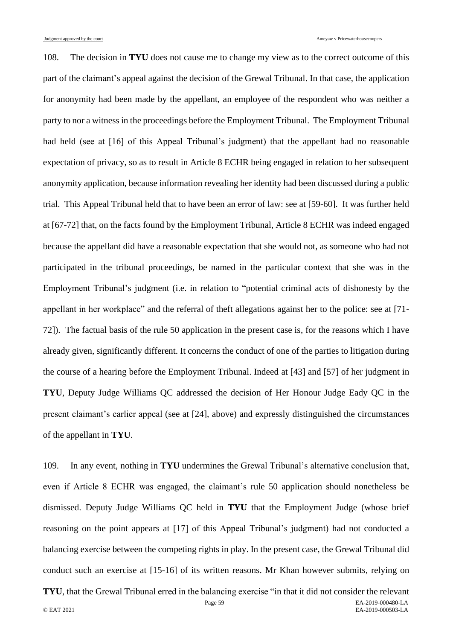108. The decision in **TYU** does not cause me to change my view as to the correct outcome of this part of the claimant's appeal against the decision of the Grewal Tribunal. In that case, the application for anonymity had been made by the appellant, an employee of the respondent who was neither a party to nor a witness in the proceedings before the Employment Tribunal. The Employment Tribunal had held (see at [16] of this Appeal Tribunal's judgment) that the appellant had no reasonable expectation of privacy, so as to result in Article 8 ECHR being engaged in relation to her subsequent anonymity application, because information revealing her identity had been discussed during a public trial. This Appeal Tribunal held that to have been an error of law: see at [59-60]. It was further held at [67-72] that, on the facts found by the Employment Tribunal, Article 8 ECHR was indeed engaged because the appellant did have a reasonable expectation that she would not, as someone who had not participated in the tribunal proceedings, be named in the particular context that she was in the Employment Tribunal's judgment (i.e. in relation to "potential criminal acts of dishonesty by the appellant in her workplace" and the referral of theft allegations against her to the police: see at [71- 72]). The factual basis of the rule 50 application in the present case is, for the reasons which I have already given, significantly different. It concerns the conduct of one of the parties to litigation during the course of a hearing before the Employment Tribunal. Indeed at [43] and [57] of her judgment in **TYU**, Deputy Judge Williams QC addressed the decision of Her Honour Judge Eady QC in the present claimant's earlier appeal (see at [24], above) and expressly distinguished the circumstances of the appellant in **TYU**.

109. In any event, nothing in **TYU** undermines the Grewal Tribunal's alternative conclusion that, even if Article 8 ECHR was engaged, the claimant's rule 50 application should nonetheless be dismissed. Deputy Judge Williams QC held in **TYU** that the Employment Judge (whose brief reasoning on the point appears at [17] of this Appeal Tribunal's judgment) had not conducted a balancing exercise between the competing rights in play. In the present case, the Grewal Tribunal did conduct such an exercise at [15-16] of its written reasons. Mr Khan however submits, relying on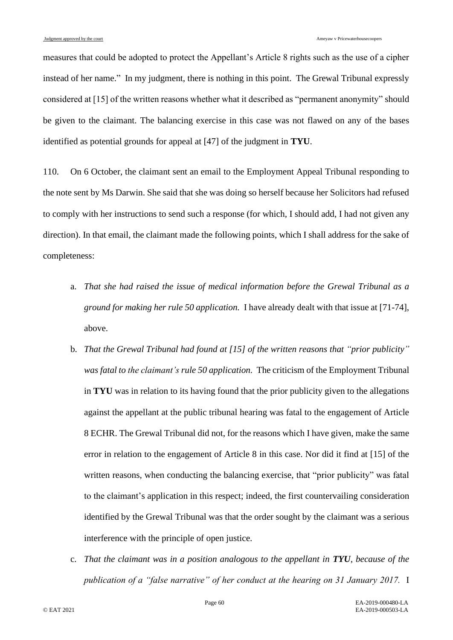measures that could be adopted to protect the Appellant's Article 8 rights such as the use of a cipher instead of her name." In my judgment, there is nothing in this point. The Grewal Tribunal expressly considered at [15] of the written reasons whether what it described as "permanent anonymity" should be given to the claimant. The balancing exercise in this case was not flawed on any of the bases identified as potential grounds for appeal at [47] of the judgment in **TYU**.

110. On 6 October, the claimant sent an email to the Employment Appeal Tribunal responding to the note sent by Ms Darwin. She said that she was doing so herself because her Solicitors had refused to comply with her instructions to send such a response (for which, I should add, I had not given any direction). In that email, the claimant made the following points, which I shall address for the sake of completeness:

- a. *That she had raised the issue of medical information before the Grewal Tribunal as a ground for making her rule 50 application.* I have already dealt with that issue at [71-74], above.
- b. *That the Grewal Tribunal had found at [15] of the written reasons that "prior publicity" was fatal to the claimant's rule 50 application.* The criticism of the Employment Tribunal in **TYU** was in relation to its having found that the prior publicity given to the allegations against the appellant at the public tribunal hearing was fatal to the engagement of Article 8 ECHR. The Grewal Tribunal did not, for the reasons which I have given, make the same error in relation to the engagement of Article 8 in this case. Nor did it find at [15] of the written reasons, when conducting the balancing exercise, that "prior publicity" was fatal to the claimant's application in this respect; indeed, the first countervailing consideration identified by the Grewal Tribunal was that the order sought by the claimant was a serious interference with the principle of open justice.
- c. *That the claimant was in a position analogous to the appellant in TYU, because of the publication of a "false narrative" of her conduct at the hearing on 31 January 2017.* I